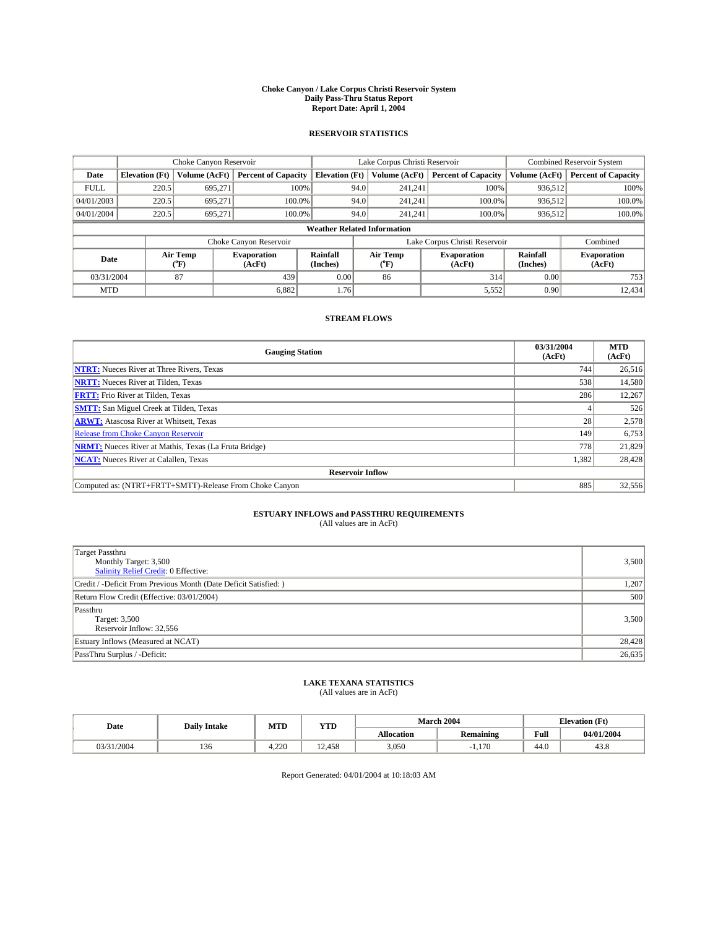#### **Choke Canyon / Lake Corpus Christi Reservoir System Daily Pass-Thru Status Report Report Date: April 1, 2004**

#### **RESERVOIR STATISTICS**

|                                    | Choke Canyon Reservoir |                             | Lake Corpus Christi Reservoir |                             |      |                  | <b>Combined Reservoir System</b> |                             |                              |
|------------------------------------|------------------------|-----------------------------|-------------------------------|-----------------------------|------|------------------|----------------------------------|-----------------------------|------------------------------|
| Date                               | <b>Elevation</b> (Ft)  | Volume (AcFt)               | <b>Percent of Capacity</b>    | <b>Elevation</b> (Ft)       |      | Volume (AcFt)    | <b>Percent of Capacity</b>       | Volume (AcFt)               | <b>Percent of Capacity</b>   |
| <b>FULL</b>                        | 220.5                  | 695,271                     |                               | 100%                        | 94.0 | 241,241          | 100%                             | 936.512                     | 100%                         |
| 04/01/2003                         | 220.5                  | 695.271                     | $100.0\%$                     |                             | 94.0 | 241.241          | $100.0\%$                        | 936.512                     | 100.0%                       |
| 04/01/2004                         | 220.5                  | 695.271                     | 100.0%                        |                             | 94.0 | 241.241          | $100.0\%$                        | 936,512                     | 100.0%                       |
| <b>Weather Related Information</b> |                        |                             |                               |                             |      |                  |                                  |                             |                              |
|                                    |                        |                             | Choke Canyon Reservoir        |                             |      |                  | Lake Corpus Christi Reservoir    |                             | Combined                     |
| Date                               |                        | Air Temp<br>${}^{\circ}$ F) | <b>Evaporation</b><br>(AcFt)  | <b>Rainfall</b><br>(Inches) |      | Air Temp<br>("F) | <b>Evaporation</b><br>(AcFt)     | <b>Rainfall</b><br>(Inches) | <b>Evaporation</b><br>(AcFt) |
| 03/31/2004                         |                        | 87                          | 439                           | 0.00                        |      | 86               | 314                              | 0.00                        | 753                          |
| <b>MTD</b>                         |                        |                             | 6,882                         | 1.76                        |      |                  | 5,552                            | 0.90                        | 12,434                       |

### **STREAM FLOWS**

| <b>Gauging Station</b>                                       | 03/31/2004<br>(AcFt) | <b>MTD</b><br>(AcFt) |
|--------------------------------------------------------------|----------------------|----------------------|
| <b>NTRT:</b> Nueces River at Three Rivers, Texas             | 744                  | 26,516               |
| <b>NRTT:</b> Nueces River at Tilden, Texas                   | 538                  | 14,580               |
| <b>FRTT:</b> Frio River at Tilden, Texas                     | 286                  | 12,267               |
| <b>SMTT:</b> San Miguel Creek at Tilden, Texas               |                      | 526                  |
| <b>ARWT:</b> Atascosa River at Whitsett, Texas               | 28 <sub>1</sub>      | 2,578                |
| <b>Release from Choke Canyon Reservoir</b>                   | 149                  | 6,753                |
| <b>NRMT:</b> Nueces River at Mathis, Texas (La Fruta Bridge) | 778                  | 21,829               |
| <b>NCAT:</b> Nueces River at Calallen, Texas                 | 1,382                | 28,428               |
| <b>Reservoir Inflow</b>                                      |                      |                      |
| Computed as: (NTRT+FRTT+SMTT)-Release From Choke Canyon      | 885                  | 32,556               |

# **ESTUARY INFLOWS and PASSTHRU REQUIREMENTS**<br>(All values are in AcFt)

| Target Passthru<br>Monthly Target: 3,500<br>Salinity Relief Credit: 0 Effective: | 3,500  |
|----------------------------------------------------------------------------------|--------|
| Credit / -Deficit From Previous Month (Date Deficit Satisfied: )                 | 1,207  |
| Return Flow Credit (Effective: 03/01/2004)                                       | 500    |
| Passthru<br>Target: 3,500<br>Reservoir Inflow: 32,556                            | 3,500  |
| Estuary Inflows (Measured at NCAT)                                               | 28,428 |
| PassThru Surplus / -Deficit:                                                     | 26,635 |

# **LAKE TEXANA STATISTICS** (All values are in AcFt)

| Date   | <b>Daily Intake</b> | MTD    | <b>YTD</b> |                   | <b>March 2004</b>                        | <b>Elevation (Ft)</b> |            |
|--------|---------------------|--------|------------|-------------------|------------------------------------------|-----------------------|------------|
|        |                     |        |            | <b>Allocation</b> | $\ddot{\phantom{a}}$<br><b>Remaining</b> | Full                  | 04/01/2004 |
| 1/2004 | 36<br>1.JU          | $+220$ | 12.458     | 3,050             | 1.170                                    | $\sim$<br>44.v        | 45.8       |

Report Generated: 04/01/2004 at 10:18:03 AM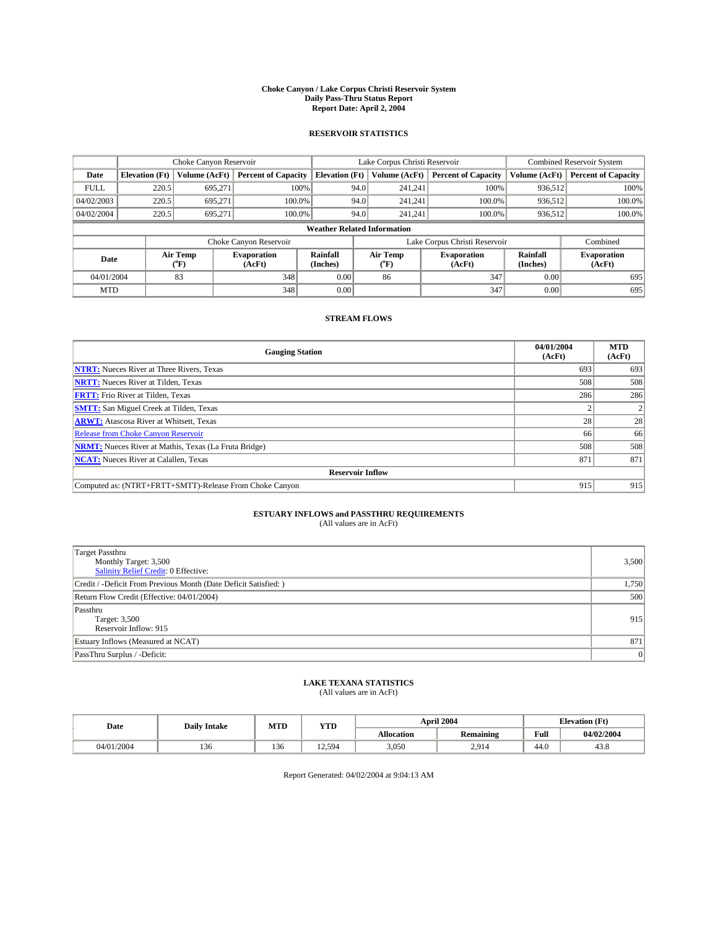#### **Choke Canyon / Lake Corpus Christi Reservoir System Daily Pass-Thru Status Report Report Date: April 2, 2004**

#### **RESERVOIR STATISTICS**

|                                    | Choke Canyon Reservoir                                              |                  | Lake Corpus Christi Reservoir |                             |      |                  | <b>Combined Reservoir System</b> |                      |                              |
|------------------------------------|---------------------------------------------------------------------|------------------|-------------------------------|-----------------------------|------|------------------|----------------------------------|----------------------|------------------------------|
| Date                               | <b>Elevation</b> (Ft)                                               | Volume (AcFt)    | <b>Percent of Capacity</b>    | <b>Elevation</b> (Ft)       |      | Volume (AcFt)    | <b>Percent of Capacity</b>       | Volume (AcFt)        | <b>Percent of Capacity</b>   |
| <b>FULL</b>                        | 220.5                                                               | 695,271          | 100%                          |                             | 94.0 | 241,241          | 100%                             | 936,512              | 100%                         |
| 04/02/2003                         | 220.5                                                               | 695.271          | 100.0%                        |                             | 94.0 | 241.241          | 100.0%                           | 936.512              | 100.0%                       |
| 04/02/2004                         | 220.5                                                               | 695.271          | $100.0\%$                     |                             | 94.0 | 241.241          | $100.0\%$                        | 936,512              | 100.0%                       |
| <b>Weather Related Information</b> |                                                                     |                  |                               |                             |      |                  |                                  |                      |                              |
|                                    | Lake Corpus Christi Reservoir<br>Combined<br>Choke Canyon Reservoir |                  |                               |                             |      |                  |                                  |                      |                              |
| Date                               |                                                                     | Air Temp<br>(°F) | <b>Evaporation</b><br>(AcFt)  | <b>Rainfall</b><br>(Inches) |      | Air Temp<br>("F) | <b>Evaporation</b><br>(AcFt)     | Rainfall<br>(Inches) | <b>Evaporation</b><br>(AcFt) |
| 04/01/2004                         |                                                                     | 83               | 348                           | 0.00                        |      | 86               | 347                              | 0.00                 | 695                          |
| <b>MTD</b>                         |                                                                     |                  | 348                           | 0.00                        |      |                  | 347                              | 0.00                 | 695                          |

### **STREAM FLOWS**

| <b>Gauging Station</b>                                       | 04/01/2004<br>(AcFt) | <b>MTD</b><br>(AcFt) |
|--------------------------------------------------------------|----------------------|----------------------|
| <b>NTRT:</b> Nueces River at Three Rivers, Texas             | 693                  | 693                  |
| <b>NRTT:</b> Nueces River at Tilden, Texas                   | 508                  | 508                  |
| <b>FRTT:</b> Frio River at Tilden, Texas                     | 286                  | 286                  |
| <b>SMTT:</b> San Miguel Creek at Tilden, Texas               |                      |                      |
| <b>ARWT:</b> Atascosa River at Whitsett, Texas               | 28                   | 28                   |
| <b>Release from Choke Canyon Reservoir</b>                   | 66                   | 66                   |
| <b>NRMT:</b> Nueces River at Mathis, Texas (La Fruta Bridge) | 508                  | 508                  |
| <b>NCAT:</b> Nueces River at Calallen, Texas                 | 871                  | 871                  |
| <b>Reservoir Inflow</b>                                      |                      |                      |
| Computed as: (NTRT+FRTT+SMTT)-Release From Choke Canyon      | 915                  | 915                  |

## **ESTUARY INFLOWS and PASSTHRU REQUIREMENTS**<br>(All values are in AcFt)

| <b>Target Passthru</b><br>Monthly Target: 3,500<br>Salinity Relief Credit: 0 Effective: | 3,500 |
|-----------------------------------------------------------------------------------------|-------|
| Credit / -Deficit From Previous Month (Date Deficit Satisfied: )                        | 1,750 |
| Return Flow Credit (Effective: 04/01/2004)                                              | 500   |
| Passthru<br>Target: 3,500<br>Reservoir Inflow: 915                                      | 915   |
| Estuary Inflows (Measured at NCAT)                                                      | 871   |
| PassThru Surplus / -Deficit:                                                            | 0     |

# **LAKE TEXANA STATISTICS** (All values are in AcFt)

| Date       | <b>Daily Intake</b> | MTD           | <b>YTD</b>                       |                   | <b>April 2004</b>                        |                | <b>Elevation (Ft)</b> |  |
|------------|---------------------|---------------|----------------------------------|-------------------|------------------------------------------|----------------|-----------------------|--|
|            |                     |               |                                  | <b>Allocation</b> | $\ddot{\phantom{a}}$<br><b>Remaining</b> | Full           | 04/02/2004            |  |
| 04/01/2004 | べん<br>1.JU          | $\sim$<br>136 | .594<br>$\sim$<br>$\overline{1}$ | 3,050             | 2,914                                    | $\sim$<br>44.v | 400<br>45.8           |  |

Report Generated: 04/02/2004 at 9:04:13 AM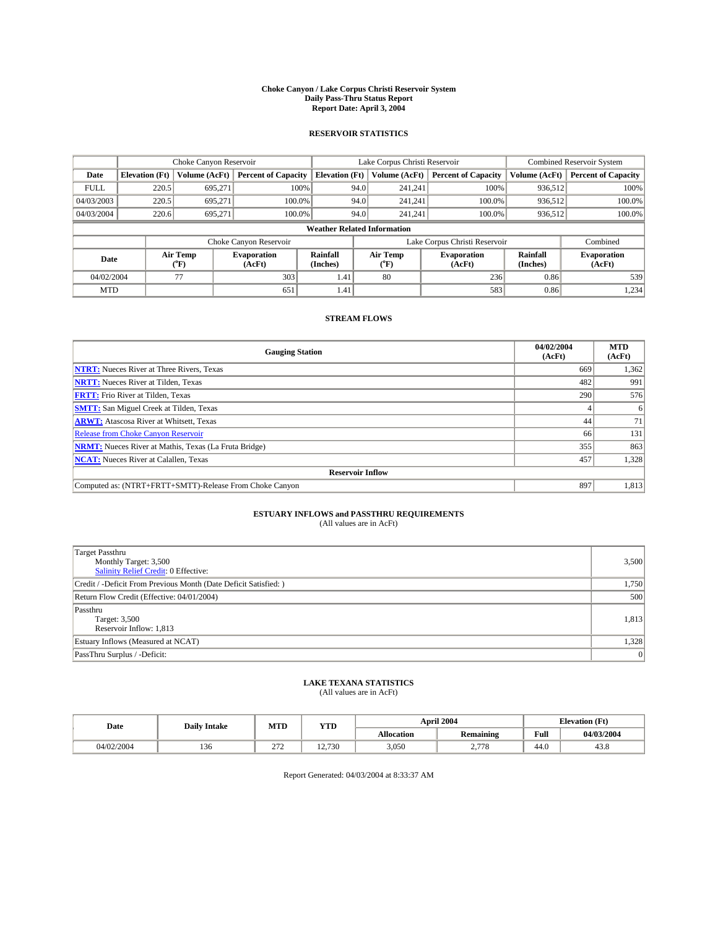#### **Choke Canyon / Lake Corpus Christi Reservoir System Daily Pass-Thru Status Report Report Date: April 3, 2004**

#### **RESERVOIR STATISTICS**

|                                    | Choke Canyon Reservoir |                             | Lake Corpus Christi Reservoir |                             |      |                  | <b>Combined Reservoir System</b> |                      |                              |
|------------------------------------|------------------------|-----------------------------|-------------------------------|-----------------------------|------|------------------|----------------------------------|----------------------|------------------------------|
| Date                               | <b>Elevation</b> (Ft)  | Volume (AcFt)               | <b>Percent of Capacity</b>    | <b>Elevation</b> (Ft)       |      | Volume (AcFt)    | <b>Percent of Capacity</b>       | Volume (AcFt)        | <b>Percent of Capacity</b>   |
| <b>FULL</b>                        | 220.5                  | 695,271                     | 100%                          |                             | 94.0 | 241,241          | 100%                             | 936.512              | 100%                         |
| 04/03/2003                         | 220.5                  | 695.271                     | $100.0\%$                     |                             | 94.0 | 241.241          | $100.0\%$                        | 936.512              | 100.0%                       |
| 04/03/2004                         | 220.6                  | 695.271                     | 100.0%                        |                             | 94.0 | 241.241          | $100.0\%$                        | 936,512              | 100.0%                       |
| <b>Weather Related Information</b> |                        |                             |                               |                             |      |                  |                                  |                      |                              |
|                                    |                        |                             | Choke Canyon Reservoir        |                             |      |                  | Lake Corpus Christi Reservoir    |                      | Combined                     |
| Date                               |                        | Air Temp<br>${}^{\circ}$ F) | <b>Evaporation</b><br>(AcFt)  | <b>Rainfall</b><br>(Inches) |      | Air Temp<br>("F) | <b>Evaporation</b><br>(AcFt)     | Rainfall<br>(Inches) | <b>Evaporation</b><br>(AcFt) |
| 04/02/2004                         |                        | 77                          | 303                           | 1.41                        |      | 80               | 236                              | 0.86                 | 539                          |
| <b>MTD</b>                         |                        |                             | 651                           | 1.41                        |      |                  | 583                              | 0.86                 | 1,234                        |

### **STREAM FLOWS**

| <b>Gauging Station</b>                                       | 04/02/2004<br>(AcFt) | <b>MTD</b><br>(AcFt) |  |  |  |  |  |
|--------------------------------------------------------------|----------------------|----------------------|--|--|--|--|--|
| <b>NTRT:</b> Nueces River at Three Rivers, Texas             | 669                  | 1,362                |  |  |  |  |  |
| <b>NRTT:</b> Nueces River at Tilden, Texas                   | 482                  | 991                  |  |  |  |  |  |
| <b>FRTT:</b> Frio River at Tilden, Texas                     | 290                  | 576                  |  |  |  |  |  |
| <b>SMTT:</b> San Miguel Creek at Tilden, Texas               |                      |                      |  |  |  |  |  |
| <b>ARWT:</b> Atascosa River at Whitsett, Texas               | 44                   | 71                   |  |  |  |  |  |
| <b>Release from Choke Canyon Reservoir</b>                   | 66                   | 131                  |  |  |  |  |  |
| <b>NRMT:</b> Nueces River at Mathis, Texas (La Fruta Bridge) | 355                  | 863                  |  |  |  |  |  |
| <b>NCAT:</b> Nueces River at Calallen, Texas                 | 457                  | 1,328                |  |  |  |  |  |
| <b>Reservoir Inflow</b>                                      |                      |                      |  |  |  |  |  |
| Computed as: (NTRT+FRTT+SMTT)-Release From Choke Canyon      | 897                  | 1,813                |  |  |  |  |  |

# **ESTUARY INFLOWS and PASSTHRU REQUIREMENTS**<br>(All values are in AcFt)

| <b>Target Passthru</b><br>Monthly Target: 3,500<br>Salinity Relief Credit: 0 Effective: | 3,500          |
|-----------------------------------------------------------------------------------------|----------------|
| Credit / -Deficit From Previous Month (Date Deficit Satisfied: )                        | 1,750          |
| Return Flow Credit (Effective: 04/01/2004)                                              | 500            |
| Passthru<br>Target: 3,500<br>Reservoir Inflow: 1,813                                    | 1,813          |
| Estuary Inflows (Measured at NCAT)                                                      | 1,328          |
| PassThru Surplus / -Deficit:                                                            | $\overline{0}$ |

# **LAKE TEXANA STATISTICS** (All values are in AcFt)

| Date       | <b>Daily Intake</b> | MTD           | VTT<br>$\blacksquare$ |                   | <b>April 2004</b>         | Elevation (Ft) |            |
|------------|---------------------|---------------|-----------------------|-------------------|---------------------------|----------------|------------|
|            |                     |               |                       | <b>Allocation</b> | Remaining                 | Full           | 04/03/2004 |
| 04/02/2004 | 1 J U               | $\sim$<br>212 | 12.730<br>.           | 3,050             | 277c<br>70<br>$\sim\cdot$ | 44.0           | 45.8       |

Report Generated: 04/03/2004 at 8:33:37 AM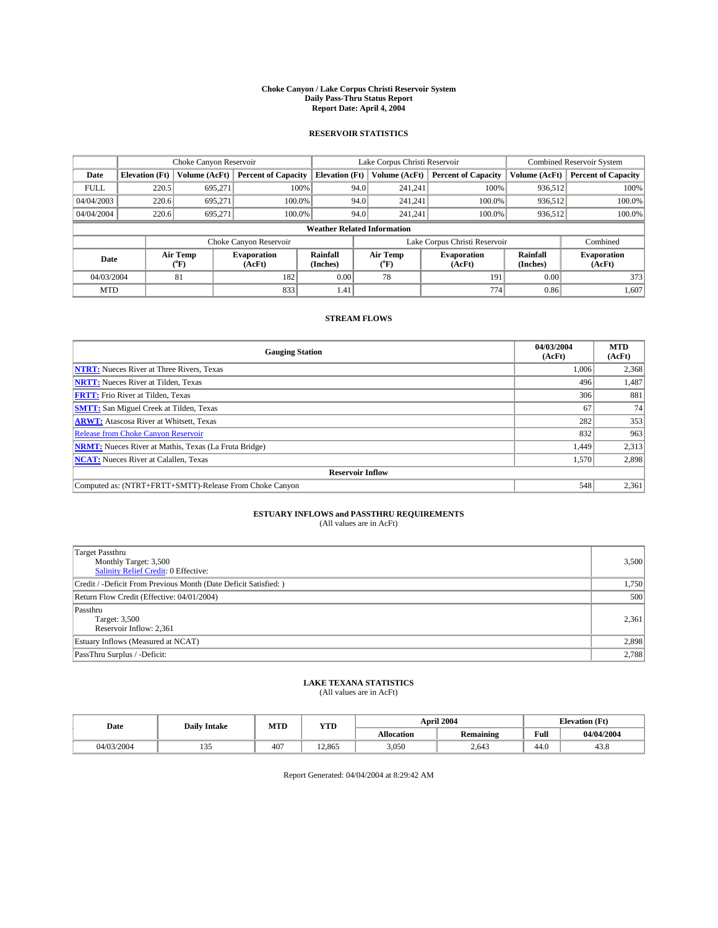#### **Choke Canyon / Lake Corpus Christi Reservoir System Daily Pass-Thru Status Report Report Date: April 4, 2004**

#### **RESERVOIR STATISTICS**

|                                    | Choke Canyon Reservoir |                  |                              |                             | Lake Corpus Christi Reservoir |                  |                               |                      | <b>Combined Reservoir System</b> |  |  |
|------------------------------------|------------------------|------------------|------------------------------|-----------------------------|-------------------------------|------------------|-------------------------------|----------------------|----------------------------------|--|--|
| Date                               | <b>Elevation</b> (Ft)  | Volume (AcFt)    | <b>Percent of Capacity</b>   | <b>Elevation</b> (Ft)       |                               | Volume (AcFt)    | <b>Percent of Capacity</b>    | Volume (AcFt)        | <b>Percent of Capacity</b>       |  |  |
| <b>FULL</b>                        | 220.5                  | 695,271          | 100%                         |                             | 94.0                          | 241,241          | 100%                          | 936.512              | 100%                             |  |  |
| 04/04/2003                         | 220.6                  | 695.271          | $100.0\%$                    |                             | 94.0                          | 241.241          | $100.0\%$                     | 936.512              | 100.0%                           |  |  |
| 04/04/2004                         | 220.6                  | 695.271          | 100.0%                       |                             | 94.0                          | 241.241          | $100.0\%$                     | 936,512              | 100.0%                           |  |  |
| <b>Weather Related Information</b> |                        |                  |                              |                             |                               |                  |                               |                      |                                  |  |  |
|                                    |                        |                  | Choke Canyon Reservoir       |                             |                               |                  | Lake Corpus Christi Reservoir |                      | Combined                         |  |  |
| Date                               |                        | Air Temp<br>(°F) | <b>Evaporation</b><br>(AcFt) | <b>Rainfall</b><br>(Inches) |                               | Air Temp<br>("F) | <b>Evaporation</b><br>(AcFt)  | Rainfall<br>(Inches) | <b>Evaporation</b><br>(AcFt)     |  |  |
| 04/03/2004                         |                        | 81               | 182                          | 0.00                        |                               | 78               | 191                           | 0.00                 | 373                              |  |  |
| <b>MTD</b>                         |                        |                  | 833                          | 1.41                        |                               |                  | 774                           | 0.86                 | 1,607                            |  |  |

### **STREAM FLOWS**

| <b>Gauging Station</b>                                       | 04/03/2004<br>(AcFt) | <b>MTD</b><br>(AcFt) |
|--------------------------------------------------------------|----------------------|----------------------|
| <b>NTRT:</b> Nueces River at Three Rivers, Texas             | 1,006                | 2,368                |
| <b>NRTT:</b> Nueces River at Tilden, Texas                   | 496                  | 1,487                |
| <b>FRTT:</b> Frio River at Tilden, Texas                     | 306                  | 881                  |
| <b>SMTT:</b> San Miguel Creek at Tilden, Texas               | 67                   | 74                   |
| <b>ARWT:</b> Atascosa River at Whitsett, Texas               | 282                  | 353                  |
| <b>Release from Choke Canyon Reservoir</b>                   | 832                  | 963                  |
| <b>NRMT:</b> Nueces River at Mathis, Texas (La Fruta Bridge) | 1,449                | 2,313                |
| <b>NCAT:</b> Nueces River at Calallen, Texas                 | 1,570                | 2,898                |
| <b>Reservoir Inflow</b>                                      |                      |                      |
| Computed as: (NTRT+FRTT+SMTT)-Release From Choke Canyon      | 548                  | 2,361                |

## **ESTUARY INFLOWS and PASSTHRU REQUIREMENTS**<br>(All values are in AcFt)

| Target Passthru<br>Monthly Target: 3,500<br>Salinity Relief Credit: 0 Effective: | 3,500 |
|----------------------------------------------------------------------------------|-------|
| Credit / -Deficit From Previous Month (Date Deficit Satisfied: )                 | 1,750 |
| Return Flow Credit (Effective: 04/01/2004)                                       | 500   |
| Passthru<br>Target: 3,500<br>Reservoir Inflow: 2,361                             | 2,361 |
| Estuary Inflows (Measured at NCAT)                                               | 2,898 |
| PassThru Surplus / -Deficit:                                                     | 2,788 |

# **LAKE TEXANA STATISTICS** (All values are in AcFt)

| Date       | <b>Daily Intake</b>    | MTD        | <b>YTD</b> |                   | <b>April 2004</b> | <b>Elevation</b> (Ft) |            |
|------------|------------------------|------------|------------|-------------------|-------------------|-----------------------|------------|
|            |                        |            |            | <b>Allocation</b> | <b>Remaining</b>  | Full                  | 04/04/2004 |
| 04/03/2004 | $\sim$ $\sim$<br>1 J J | $40^\circ$ | 12,865     | 3,050             | 2,643             | 44.0                  | 45.0       |

Report Generated: 04/04/2004 at 8:29:42 AM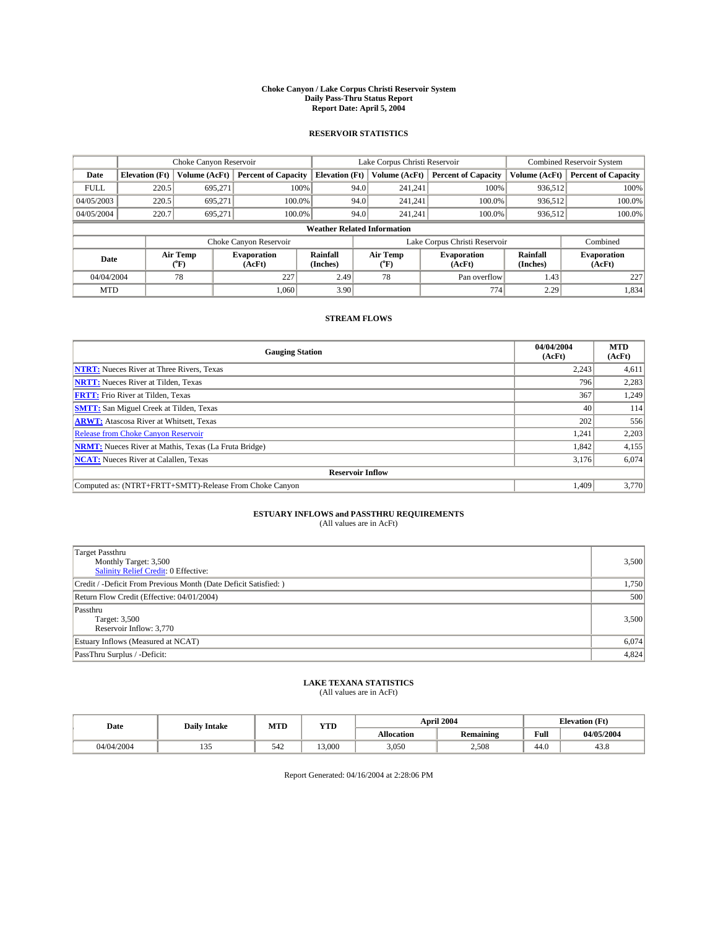#### **Choke Canyon / Lake Corpus Christi Reservoir System Daily Pass-Thru Status Report Report Date: April 5, 2004**

#### **RESERVOIR STATISTICS**

|                                    |                       |                  | Lake Corpus Christi Reservoir |                       |      |                          | Combined Reservoir System     |                      |                              |
|------------------------------------|-----------------------|------------------|-------------------------------|-----------------------|------|--------------------------|-------------------------------|----------------------|------------------------------|
| Date                               | <b>Elevation</b> (Ft) | Volume (AcFt)    | <b>Percent of Capacity</b>    | <b>Elevation</b> (Ft) |      | Volume (AcFt)            | <b>Percent of Capacity</b>    | Volume (AcFt)        | <b>Percent of Capacity</b>   |
| <b>FULL</b>                        | 220.5                 | 695.271          |                               | 100%                  | 94.0 | 241,241                  | 100%                          | 936.512              | 100%                         |
| 04/05/2003                         | 220.5                 | 695.271          |                               | $100.0\%$             | 94.0 | 241,241                  | 100.0%                        | 936,512              | 100.0%                       |
| 04/05/2004                         | 220.7                 | 695.271          |                               | 100.0%                | 94.0 | 241,241                  | 100.0%                        | 936,512              | 100.0%                       |
| <b>Weather Related Information</b> |                       |                  |                               |                       |      |                          |                               |                      |                              |
|                                    |                       |                  | Choke Canyon Reservoir        |                       |      |                          | Lake Corpus Christi Reservoir |                      | Combined                     |
| Date                               |                       | Air Temp<br>(°F) | <b>Evaporation</b><br>(AcFt)  | Rainfall<br>(Inches)  |      | Air Temp<br>$\rm ^{o}F)$ | <b>Evaporation</b><br>(AcFt)  | Rainfall<br>(Inches) | <b>Evaporation</b><br>(AcFt) |
| 04/04/2004                         |                       | 78               | 227                           | 2.49                  |      | 78                       | Pan overflow                  | 1.43                 | 227                          |
| <b>MTD</b>                         |                       |                  | 1.060                         | 3.90                  |      |                          | 774                           | 2.29                 | 1,834                        |

## **STREAM FLOWS**

| <b>Gauging Station</b>                                       | 04/04/2004<br>(AcFt) | <b>MTD</b><br>(AcFt) |  |  |  |  |  |
|--------------------------------------------------------------|----------------------|----------------------|--|--|--|--|--|
| <b>NTRT:</b> Nueces River at Three Rivers, Texas             | 2,243                | 4,611                |  |  |  |  |  |
| <b>NRTT:</b> Nueces River at Tilden, Texas                   | 796                  | 2,283                |  |  |  |  |  |
| <b>FRTT:</b> Frio River at Tilden, Texas                     | 367                  | 1,249                |  |  |  |  |  |
| <b>SMTT:</b> San Miguel Creek at Tilden, Texas               | 40                   | 114                  |  |  |  |  |  |
| <b>ARWT:</b> Atascosa River at Whitsett, Texas               | 202                  | 556                  |  |  |  |  |  |
| <b>Release from Choke Canyon Reservoir</b>                   | 1,241                | 2,203                |  |  |  |  |  |
| <b>NRMT:</b> Nueces River at Mathis, Texas (La Fruta Bridge) | 1,842                | 4,155                |  |  |  |  |  |
| <b>NCAT:</b> Nueces River at Calallen, Texas                 | 3,176                | 6,074                |  |  |  |  |  |
| <b>Reservoir Inflow</b>                                      |                      |                      |  |  |  |  |  |
| Computed as: (NTRT+FRTT+SMTT)-Release From Choke Canyon      | 1.409                | 3,770                |  |  |  |  |  |

## **ESTUARY INFLOWS and PASSTHRU REQUIREMENTS**<br>(All values are in AcFt)

| <b>Target Passthru</b><br>Monthly Target: 3,500<br><b>Salinity Relief Credit: 0 Effective:</b> | 3,500 |
|------------------------------------------------------------------------------------------------|-------|
| Credit / -Deficit From Previous Month (Date Deficit Satisfied: )                               | 1,750 |
| Return Flow Credit (Effective: 04/01/2004)                                                     | 500   |
| Passthru<br>Target: 3,500<br>Reservoir Inflow: 3,770                                           | 3,500 |
| Estuary Inflows (Measured at NCAT)                                                             | 6,074 |
| PassThru Surplus / -Deficit:                                                                   | 4,824 |

# **LAKE TEXANA STATISTICS** (All values are in AcFt)

| Date       | <b>Daily Intake</b>    | MTD | <b>YTD</b> |                   | <b>April 2004</b> | <b>Elevation (Ft)</b> |            |
|------------|------------------------|-----|------------|-------------------|-------------------|-----------------------|------------|
|            |                        |     |            | <b>Allocation</b> | <b>Remaining</b>  | Full                  | 04/05/2004 |
| 04/04/2004 | $\sim$ $\sim$<br>1 J J | 542 | 13.000     | 3,050             | 2.508             | 44.0                  | 45.8       |

Report Generated: 04/16/2004 at 2:28:06 PM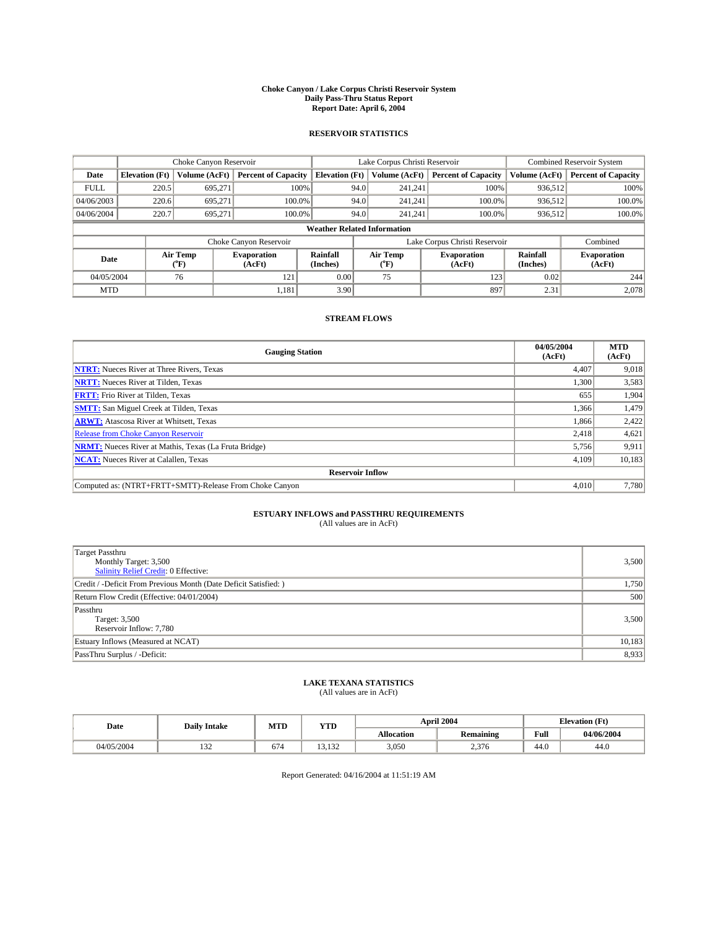#### **Choke Canyon / Lake Corpus Christi Reservoir System Daily Pass-Thru Status Report Report Date: April 6, 2004**

#### **RESERVOIR STATISTICS**

|             | Choke Canyon Reservoir             |                             |                              |                             | Lake Corpus Christi Reservoir |                  |                               |                      | <b>Combined Reservoir System</b> |  |  |
|-------------|------------------------------------|-----------------------------|------------------------------|-----------------------------|-------------------------------|------------------|-------------------------------|----------------------|----------------------------------|--|--|
| Date        | <b>Elevation</b> (Ft)              | Volume (AcFt)               | <b>Percent of Capacity</b>   | <b>Elevation</b> (Ft)       |                               | Volume (AcFt)    | <b>Percent of Capacity</b>    | Volume (AcFt)        | <b>Percent of Capacity</b>       |  |  |
| <b>FULL</b> | 220.5                              | 695,271                     |                              | 100%                        | 94.0                          | 241,241          | 100%                          | 936.512              | 100%                             |  |  |
| 04/06/2003  | 220.6                              | 695.271                     | $100.0\%$                    |                             | 94.0                          | 241.241          | $100.0\%$                     | 936.512              | 100.0%                           |  |  |
| 04/06/2004  | 220.7                              | 695.271                     | 100.0%                       |                             | 94.0                          | 241.241          | $100.0\%$                     | 936,512              | 100.0%                           |  |  |
|             | <b>Weather Related Information</b> |                             |                              |                             |                               |                  |                               |                      |                                  |  |  |
|             |                                    |                             | Choke Canyon Reservoir       |                             |                               |                  | Lake Corpus Christi Reservoir |                      | Combined                         |  |  |
| Date        |                                    | Air Temp<br>${}^{\circ}$ F) | <b>Evaporation</b><br>(AcFt) | <b>Rainfall</b><br>(Inches) |                               | Air Temp<br>("F) | <b>Evaporation</b><br>(AcFt)  | Rainfall<br>(Inches) | <b>Evaporation</b><br>(AcFt)     |  |  |
| 04/05/2004  |                                    | 76                          | 121                          | 0.00                        |                               | 75               | 123                           | 0.02                 | 244                              |  |  |
| <b>MTD</b>  |                                    |                             | 1,181                        | 3.90                        |                               |                  | 897                           | 2.31                 | 2,078                            |  |  |

### **STREAM FLOWS**

| <b>Gauging Station</b>                                       | 04/05/2004<br>(AcFt) | <b>MTD</b><br>(AcFt) |  |  |  |  |  |
|--------------------------------------------------------------|----------------------|----------------------|--|--|--|--|--|
| <b>NTRT:</b> Nueces River at Three Rivers, Texas             | 4,407                | 9,018                |  |  |  |  |  |
| <b>NRTT:</b> Nueces River at Tilden, Texas                   | 1,300                | 3,583                |  |  |  |  |  |
| <b>FRTT:</b> Frio River at Tilden, Texas                     | 655                  | 1,904                |  |  |  |  |  |
| <b>SMTT:</b> San Miguel Creek at Tilden, Texas               | 1,366                | 1,479                |  |  |  |  |  |
| <b>ARWT:</b> Atascosa River at Whitsett, Texas               | 1,866                | 2,422                |  |  |  |  |  |
| Release from Choke Canyon Reservoir                          | 2,418                | 4,621                |  |  |  |  |  |
| <b>NRMT:</b> Nueces River at Mathis, Texas (La Fruta Bridge) | 5,756                | 9,911                |  |  |  |  |  |
| <b>NCAT:</b> Nueces River at Calallen, Texas                 | 4,109                | 10,183               |  |  |  |  |  |
| <b>Reservoir Inflow</b>                                      |                      |                      |  |  |  |  |  |
| Computed as: (NTRT+FRTT+SMTT)-Release From Choke Canyon      | 4.010                | 7,780                |  |  |  |  |  |

# **ESTUARY INFLOWS and PASSTHRU REQUIREMENTS**<br>(All values are in AcFt)

| Target Passthru<br>Monthly Target: 3,500<br>Salinity Relief Credit: 0 Effective: | 3,500  |
|----------------------------------------------------------------------------------|--------|
| Credit / -Deficit From Previous Month (Date Deficit Satisfied: )                 | 1,750  |
| Return Flow Credit (Effective: 04/01/2004)                                       | 500    |
| Passthru<br>Target: 3,500<br>Reservoir Inflow: 7,780                             | 3,500  |
| Estuary Inflows (Measured at NCAT)                                               | 10,183 |
| PassThru Surplus / -Deficit:                                                     | 8,933  |

# **LAKE TEXANA STATISTICS** (All values are in AcFt)

| Date       | <b>Daily Intake</b>  | MTD | <b>YTD</b>    |                   | April 2004       | <b>Elevation</b> (Ft) |            |
|------------|----------------------|-----|---------------|-------------------|------------------|-----------------------|------------|
|            |                      |     |               | <b>Allocation</b> | <b>Remaining</b> | Full                  | 04/06/2004 |
| 04/05/2004 | $\sim$<br>$1J\omega$ | 674 | 122<br>19.192 | 3,050             | 27<br>2.5/0      | $\sim$<br>44.0        | 44.0       |

Report Generated: 04/16/2004 at 11:51:19 AM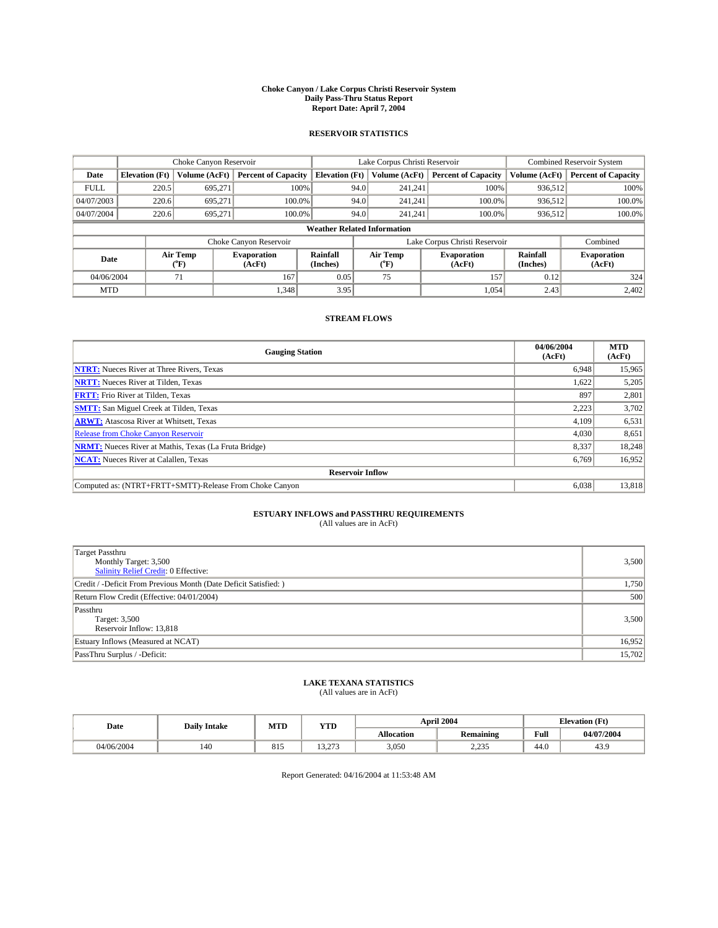#### **Choke Canyon / Lake Corpus Christi Reservoir System Daily Pass-Thru Status Report Report Date: April 7, 2004**

#### **RESERVOIR STATISTICS**

|             | Choke Canyon Reservoir             |                             |                              |                             | Lake Corpus Christi Reservoir |                  |                               |                             | <b>Combined Reservoir System</b> |  |
|-------------|------------------------------------|-----------------------------|------------------------------|-----------------------------|-------------------------------|------------------|-------------------------------|-----------------------------|----------------------------------|--|
| Date        | <b>Elevation</b> (Ft)              | Volume (AcFt)               | <b>Percent of Capacity</b>   | <b>Elevation</b> (Ft)       |                               | Volume (AcFt)    | <b>Percent of Capacity</b>    | Volume (AcFt)               | <b>Percent of Capacity</b>       |  |
| <b>FULL</b> | 220.5                              | 695,271                     |                              | 100%                        | 94.0                          | 241,241          | 100%                          | 936.512                     | 100%                             |  |
| 04/07/2003  | 220.6                              | 695.271                     | $100.0\%$                    |                             | 94.0                          | 241.241          | $100.0\%$                     | 936.512                     | 100.0%                           |  |
| 04/07/2004  | 220.6                              | 695.271                     | 100.0%                       |                             | 94.0                          | 241.241          | $100.0\%$                     | 936,512                     | 100.0%                           |  |
|             | <b>Weather Related Information</b> |                             |                              |                             |                               |                  |                               |                             |                                  |  |
|             |                                    |                             | Choke Canyon Reservoir       |                             |                               |                  | Lake Corpus Christi Reservoir |                             | Combined                         |  |
| Date        |                                    | Air Temp<br>${}^{\circ}$ F) | <b>Evaporation</b><br>(AcFt) | <b>Rainfall</b><br>(Inches) |                               | Air Temp<br>("F) | <b>Evaporation</b><br>(AcFt)  | <b>Rainfall</b><br>(Inches) | <b>Evaporation</b><br>(AcFt)     |  |
| 04/06/2004  |                                    | 71                          | 167                          | 0.05                        |                               | 75               | 157                           | 0.12                        | 324                              |  |
| <b>MTD</b>  |                                    |                             | 1,348                        | 3.95                        |                               |                  | 1,054                         | 2.43                        | 2,402                            |  |

### **STREAM FLOWS**

| <b>Gauging Station</b>                                       | 04/06/2004<br>(AcFt) | <b>MTD</b><br>(AcFt) |
|--------------------------------------------------------------|----------------------|----------------------|
| <b>NTRT:</b> Nueces River at Three Rivers, Texas             | 6,948                | 15,965               |
| <b>NRTT:</b> Nueces River at Tilden, Texas                   | 1.622                | 5,205                |
| <b>FRTT:</b> Frio River at Tilden, Texas                     | 897                  | 2,801                |
| <b>SMTT:</b> San Miguel Creek at Tilden, Texas               | 2,223                | 3,702                |
| <b>ARWT:</b> Atascosa River at Whitsett, Texas               | 4,109                | 6,531                |
| <b>Release from Choke Canyon Reservoir</b>                   | 4,030                | 8,651                |
| <b>NRMT:</b> Nueces River at Mathis, Texas (La Fruta Bridge) | 8,337                | 18,248               |
| <b>NCAT:</b> Nueces River at Calallen, Texas                 | 6,769                | 16,952               |
| <b>Reservoir Inflow</b>                                      |                      |                      |
| Computed as: (NTRT+FRTT+SMTT)-Release From Choke Canyon      | 6,038                | 13,818               |

# **ESTUARY INFLOWS and PASSTHRU REQUIREMENTS**<br>(All values are in AcFt)

| <b>Target Passthru</b><br>Monthly Target: 3,500<br>Salinity Relief Credit: 0 Effective: | 3,500  |
|-----------------------------------------------------------------------------------------|--------|
| Credit / -Deficit From Previous Month (Date Deficit Satisfied: )                        | 1,750  |
| Return Flow Credit (Effective: 04/01/2004)                                              | 500    |
| Passthru<br>Target: 3,500<br>Reservoir Inflow: 13,818                                   | 3,500  |
| Estuary Inflows (Measured at NCAT)                                                      | 16,952 |
| PassThru Surplus / -Deficit:                                                            | 15,702 |

# **LAKE TEXANA STATISTICS** (All values are in AcFt)

| Date       | <b>Daily Intake</b> | MTD | <b>YTD</b>                        |                   | April 2004           | <b>Elevation</b> (Ft) |            |
|------------|---------------------|-----|-----------------------------------|-------------------|----------------------|-----------------------|------------|
|            |                     |     |                                   | <b>Allocation</b> | <b>Remaining</b>     | Full                  | 04/07/2004 |
| 04/06/2004 | 140                 | 815 | $\sim$ $\sim$ $\sim$<br>د انت د ۱ | 3,050             | 0.225<br>ن ب سے دیکھ | $\sim$<br>44.U        | 43.9       |

Report Generated: 04/16/2004 at 11:53:48 AM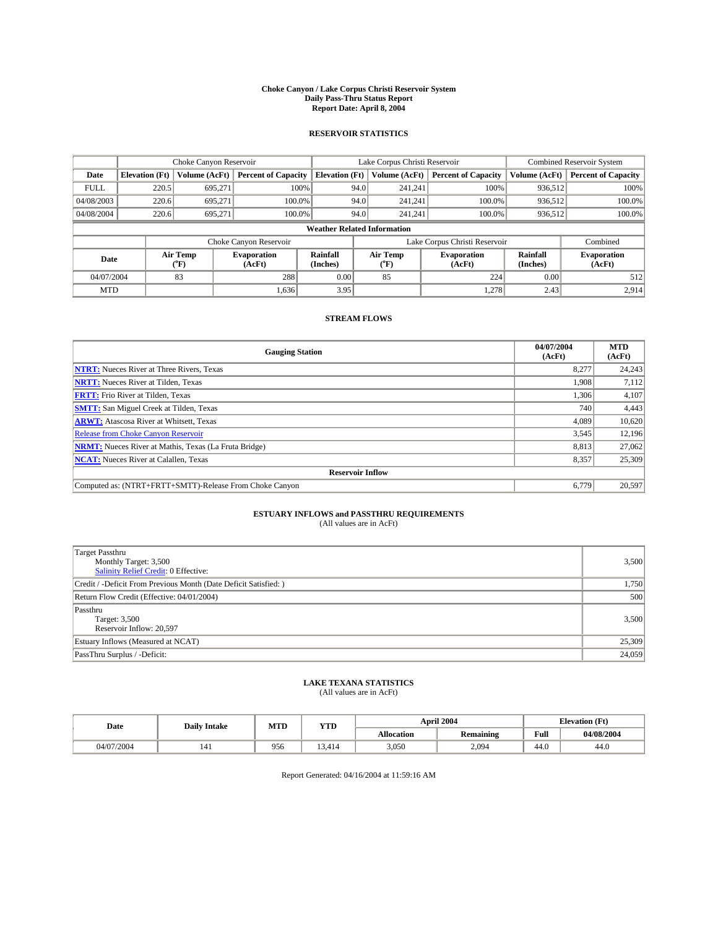#### **Choke Canyon / Lake Corpus Christi Reservoir System Daily Pass-Thru Status Report Report Date: April 8, 2004**

#### **RESERVOIR STATISTICS**

|                                    | Choke Canyon Reservoir |                  | Lake Corpus Christi Reservoir |                             |      |                  | <b>Combined Reservoir System</b> |                      |                              |
|------------------------------------|------------------------|------------------|-------------------------------|-----------------------------|------|------------------|----------------------------------|----------------------|------------------------------|
| Date                               | <b>Elevation</b> (Ft)  | Volume (AcFt)    | <b>Percent of Capacity</b>    | <b>Elevation (Ft)</b>       |      | Volume (AcFt)    | <b>Percent of Capacity</b>       | Volume (AcFt)        | <b>Percent of Capacity</b>   |
| <b>FULL</b>                        | 220.5                  | 695,271          |                               | 100%                        | 94.0 | 241,241          | 100%                             | 936.512              | 100%                         |
| 04/08/2003                         | 220.6                  | 695.271          | $100.0\%$                     |                             | 94.0 | 241.241          | $100.0\%$                        | 936.512              | 100.0%                       |
| 04/08/2004                         | 220.6                  | 695.271          | 100.0%                        |                             | 94.0 | 241.241          | $100.0\%$                        | 936,512              | 100.0%                       |
| <b>Weather Related Information</b> |                        |                  |                               |                             |      |                  |                                  |                      |                              |
|                                    |                        |                  | Choke Canyon Reservoir        |                             |      |                  | Lake Corpus Christi Reservoir    |                      | Combined                     |
| Date                               |                        | Air Temp<br>(°F) | <b>Evaporation</b><br>(AcFt)  | <b>Rainfall</b><br>(Inches) |      | Air Temp<br>("F) | <b>Evaporation</b><br>(AcFt)     | Rainfall<br>(Inches) | <b>Evaporation</b><br>(AcFt) |
| 04/07/2004                         |                        | 83               | 288                           | 0.00                        |      | 85               | 224                              | 0.00                 | 512                          |
| <b>MTD</b>                         |                        |                  | 1,636                         | 3.95                        |      |                  | 1,278                            | 2.43                 | 2,914                        |

### **STREAM FLOWS**

| <b>Gauging Station</b>                                       | 04/07/2004<br>(AcFt) | <b>MTD</b><br>(AcFt) |
|--------------------------------------------------------------|----------------------|----------------------|
| <b>NTRT:</b> Nueces River at Three Rivers, Texas             | 8,277                | 24,243               |
| <b>NRTT:</b> Nueces River at Tilden, Texas                   | 1,908                | 7,112                |
| <b>FRTT:</b> Frio River at Tilden, Texas                     | 1,306                | 4,107                |
| <b>SMTT:</b> San Miguel Creek at Tilden, Texas               | 740                  | 4,443                |
| <b>ARWT:</b> Atascosa River at Whitsett, Texas               | 4,089                | 10,620               |
| <b>Release from Choke Canyon Reservoir</b>                   | 3,545                | 12,196               |
| <b>NRMT:</b> Nueces River at Mathis, Texas (La Fruta Bridge) | 8.813                | 27,062               |
| <b>NCAT:</b> Nueces River at Calallen, Texas                 | 8,357                | 25,309               |
| <b>Reservoir Inflow</b>                                      |                      |                      |
| Computed as: (NTRT+FRTT+SMTT)-Release From Choke Canyon      | 6,779                | 20,597               |

# **ESTUARY INFLOWS and PASSTHRU REQUIREMENTS**<br>(All values are in AcFt)

| Target Passthru<br>Monthly Target: 3,500<br>Salinity Relief Credit: 0 Effective: | 3,500  |
|----------------------------------------------------------------------------------|--------|
| Credit / -Deficit From Previous Month (Date Deficit Satisfied: )                 | 1,750  |
| Return Flow Credit (Effective: 04/01/2004)                                       | 500    |
| Passthru<br>Target: 3,500<br>Reservoir Inflow: 20,597                            | 3,500  |
| Estuary Inflows (Measured at NCAT)                                               | 25,309 |
| PassThru Surplus / -Deficit:                                                     | 24,059 |

# **LAKE TEXANA STATISTICS** (All values are in AcFt)

| Date       | <b>Daily Intake</b> | MTD | <b>YTD</b>      |                   | April 2004       | <b>Elevation (Ft)</b> |            |
|------------|---------------------|-----|-----------------|-------------------|------------------|-----------------------|------------|
|            |                     |     |                 | <b>Allocation</b> | <b>Remaining</b> | Full                  | 04/08/2004 |
| 04/07/2004 | 141                 | 956 | $\sim$<br>3.414 | 3,050             | 2,094            | $\sim$<br>44.U        | 44.0       |

Report Generated: 04/16/2004 at 11:59:16 AM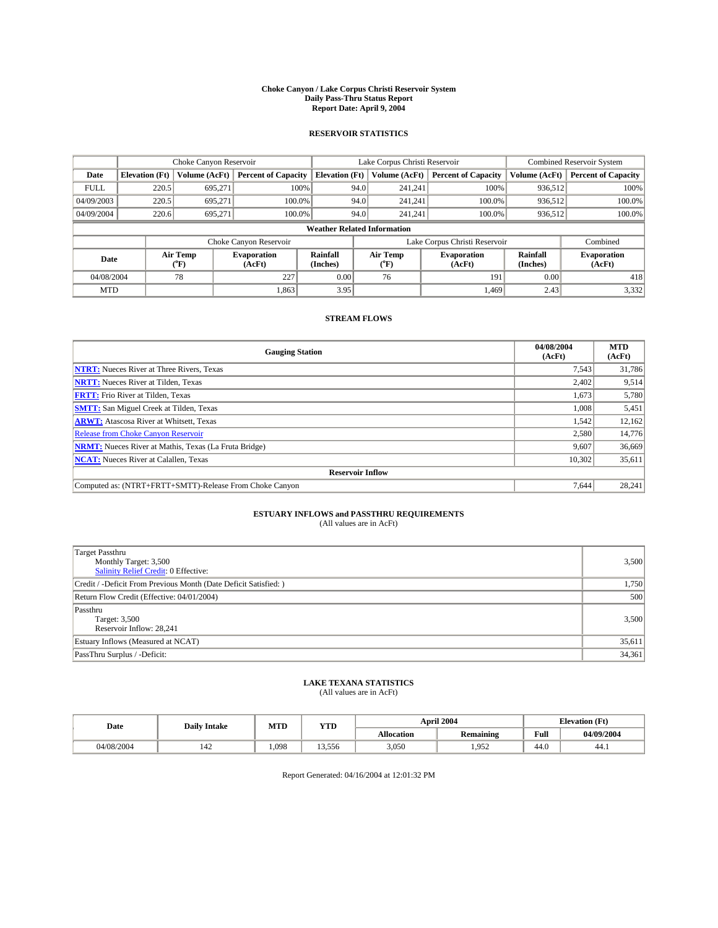#### **Choke Canyon / Lake Corpus Christi Reservoir System Daily Pass-Thru Status Report Report Date: April 9, 2004**

#### **RESERVOIR STATISTICS**

|             | Choke Canyon Reservoir             |                             | Lake Corpus Christi Reservoir |                             |      |                  | <b>Combined Reservoir System</b> |                      |                              |  |
|-------------|------------------------------------|-----------------------------|-------------------------------|-----------------------------|------|------------------|----------------------------------|----------------------|------------------------------|--|
| Date        | <b>Elevation</b> (Ft)              | Volume (AcFt)               | <b>Percent of Capacity</b>    | <b>Elevation</b> (Ft)       |      | Volume (AcFt)    | <b>Percent of Capacity</b>       | Volume (AcFt)        | <b>Percent of Capacity</b>   |  |
| <b>FULL</b> | 220.5                              | 695,271                     | 100%                          |                             | 94.0 | 241,241          | 100%                             | 936.512              | 100%                         |  |
| 04/09/2003  | 220.5                              | 695.271                     | $100.0\%$                     |                             | 94.0 | 241.241          | $100.0\%$                        | 936.512              | 100.0%                       |  |
| 04/09/2004  | 220.6                              | 695.271                     | 100.0%                        |                             | 94.0 | 241.241          | $100.0\%$                        | 936,512              | 100.0%                       |  |
|             | <b>Weather Related Information</b> |                             |                               |                             |      |                  |                                  |                      |                              |  |
|             |                                    |                             | Choke Canyon Reservoir        |                             |      |                  | Lake Corpus Christi Reservoir    |                      | Combined                     |  |
| Date        |                                    | Air Temp<br>${}^{\circ}$ F) | <b>Evaporation</b><br>(AcFt)  | <b>Rainfall</b><br>(Inches) |      | Air Temp<br>("F) | <b>Evaporation</b><br>(AcFt)     | Rainfall<br>(Inches) | <b>Evaporation</b><br>(AcFt) |  |
| 04/08/2004  |                                    | 78                          | 227                           | 0.00                        |      | 76               | 191                              | 0.00                 | 418                          |  |
| <b>MTD</b>  |                                    |                             | 1,863                         | 3.95                        |      |                  | 1.469                            | 2.43                 | 3,332                        |  |

### **STREAM FLOWS**

| <b>Gauging Station</b>                                       | 04/08/2004<br>(AcFt) | <b>MTD</b><br>(AcFt) |
|--------------------------------------------------------------|----------------------|----------------------|
| <b>NTRT:</b> Nueces River at Three Rivers, Texas             | 7,543                | 31,786               |
| <b>NRTT:</b> Nueces River at Tilden, Texas                   | 2.402                | 9,514                |
| <b>FRTT:</b> Frio River at Tilden, Texas                     | 1,673                | 5,780                |
| <b>SMTT:</b> San Miguel Creek at Tilden, Texas               | 1,008                | 5,451                |
| <b>ARWT:</b> Atascosa River at Whitsett, Texas               | 1,542                | 12,162               |
| <b>Release from Choke Canyon Reservoir</b>                   | 2,580                | 14,776               |
| <b>NRMT:</b> Nueces River at Mathis, Texas (La Fruta Bridge) | 9,607                | 36,669               |
| <b>NCAT:</b> Nueces River at Calallen, Texas                 | 10,302               | 35,611               |
| <b>Reservoir Inflow</b>                                      |                      |                      |
| Computed as: (NTRT+FRTT+SMTT)-Release From Choke Canyon      | 7.644                | 28,241               |

# **ESTUARY INFLOWS and PASSTHRU REQUIREMENTS**<br>(All values are in AcFt)

| Target Passthru<br>Monthly Target: 3,500<br>Salinity Relief Credit: 0 Effective: | 3,500  |
|----------------------------------------------------------------------------------|--------|
| Credit / -Deficit From Previous Month (Date Deficit Satisfied: )                 | 1,750  |
| Return Flow Credit (Effective: 04/01/2004)                                       | 500    |
| Passthru<br>Target: 3,500<br>Reservoir Inflow: 28,241                            | 3,500  |
| Estuary Inflows (Measured at NCAT)                                               | 35,611 |
| PassThru Surplus / -Deficit:                                                     | 34,361 |

# **LAKE TEXANA STATISTICS** (All values are in AcFt)

| Date       | <b>Daily Intake</b> | MTD  | <b>YTD</b>      |                   | April 2004       | <b>Elevation</b> (Ft) |            |
|------------|---------------------|------|-----------------|-------------------|------------------|-----------------------|------------|
|            |                     |      |                 | <b>Allocation</b> | <b>Remaining</b> | Full                  | 04/09/2004 |
| 04/08/2004 | 142                 | ,098 | 3.556<br>$\sim$ | 3,050             | 052<br>ستدرد     | $\sim$<br>44.U        | 44.1       |

Report Generated: 04/16/2004 at 12:01:32 PM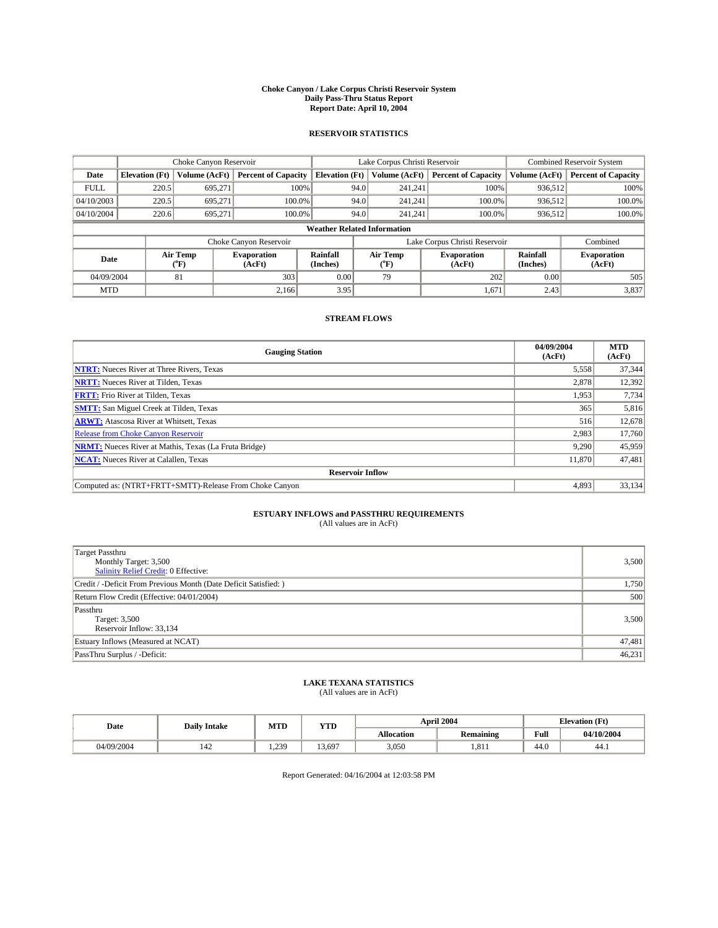#### **Choke Canyon / Lake Corpus Christi Reservoir System Daily Pass-Thru Status Report Report Date: April 10, 2004**

#### **RESERVOIR STATISTICS**

|             | Choke Canyon Reservoir             |                             |                              |                             | Lake Corpus Christi Reservoir |                  |                               |                      | <b>Combined Reservoir System</b> |  |  |
|-------------|------------------------------------|-----------------------------|------------------------------|-----------------------------|-------------------------------|------------------|-------------------------------|----------------------|----------------------------------|--|--|
| Date        | <b>Elevation</b> (Ft)              | Volume (AcFt)               | <b>Percent of Capacity</b>   | <b>Elevation</b> (Ft)       |                               | Volume (AcFt)    | <b>Percent of Capacity</b>    | Volume (AcFt)        | <b>Percent of Capacity</b>       |  |  |
| <b>FULL</b> | 220.5                              | 695,271                     | 100%                         |                             | 94.0                          | 241,241          | 100%                          | 936.512              | 100%                             |  |  |
| 04/10/2003  | 220.5                              | 695.271                     | $100.0\%$                    |                             | 94.0                          | 241.241          | $100.0\%$                     | 936.512              | 100.0%                           |  |  |
| 04/10/2004  | 220.6                              | 695.271                     | 100.0%                       |                             | 94.0                          | 241.241          | $100.0\%$                     | 936,512              | 100.0%                           |  |  |
|             | <b>Weather Related Information</b> |                             |                              |                             |                               |                  |                               |                      |                                  |  |  |
|             |                                    |                             | Choke Canyon Reservoir       |                             |                               |                  | Lake Corpus Christi Reservoir |                      | Combined                         |  |  |
| Date        |                                    | Air Temp<br>${}^{\circ}$ F) | <b>Evaporation</b><br>(AcFt) | <b>Rainfall</b><br>(Inches) |                               | Air Temp<br>("F) | <b>Evaporation</b><br>(AcFt)  | Rainfall<br>(Inches) | <b>Evaporation</b><br>(AcFt)     |  |  |
| 04/09/2004  |                                    | 81                          | 303                          | 0.00                        |                               | 79               | 202                           | 0.00                 | 505                              |  |  |
| <b>MTD</b>  |                                    |                             | 2,166                        | 3.95                        |                               |                  | 1,671                         | 2.43                 | 3,837                            |  |  |

### **STREAM FLOWS**

| <b>Gauging Station</b>                                       | 04/09/2004<br>(AcFt) | <b>MTD</b><br>(AcFt) |
|--------------------------------------------------------------|----------------------|----------------------|
| <b>NTRT:</b> Nueces River at Three Rivers, Texas             | 5,558                | 37,344               |
| <b>NRTT:</b> Nueces River at Tilden, Texas                   | 2,878                | 12,392               |
| <b>FRTT:</b> Frio River at Tilden, Texas                     | 1,953                | 7,734                |
| <b>SMTT:</b> San Miguel Creek at Tilden, Texas               | 365                  | 5,816                |
| <b>ARWT:</b> Atascosa River at Whitsett, Texas               | 516                  | 12,678               |
| <b>Release from Choke Canyon Reservoir</b>                   | 2,983                | 17,760               |
| <b>NRMT:</b> Nueces River at Mathis, Texas (La Fruta Bridge) | 9,290                | 45,959               |
| <b>NCAT:</b> Nueces River at Calallen, Texas                 | 11,870               | 47,481               |
| <b>Reservoir Inflow</b>                                      |                      |                      |
| Computed as: (NTRT+FRTT+SMTT)-Release From Choke Canyon      | 4,893                | 33,134               |

# **ESTUARY INFLOWS and PASSTHRU REQUIREMENTS**<br>(All values are in AcFt)

| Target Passthru<br>Monthly Target: 3,500<br>Salinity Relief Credit: 0 Effective: | 3,500  |
|----------------------------------------------------------------------------------|--------|
| Credit / -Deficit From Previous Month (Date Deficit Satisfied: )                 | 1,750  |
| Return Flow Credit (Effective: 04/01/2004)                                       | 500    |
| Passthru<br>Target: 3,500<br>Reservoir Inflow: 33,134                            | 3,500  |
| Estuary Inflows (Measured at NCAT)                                               | 47,481 |
| PassThru Surplus / -Deficit:                                                     | 46,231 |

# **LAKE TEXANA STATISTICS** (All values are in AcFt)

| Date       | <b>Daily Intake</b> | MTD               | <b>YTD</b> |                   | April 2004       | <b>Elevation</b> (Ft) |            |
|------------|---------------------|-------------------|------------|-------------------|------------------|-----------------------|------------|
|            |                     |                   |            | <b>Allocation</b> | <b>Remaining</b> | Full                  | 04/10/2004 |
| 04/09/2004 | 142                 | 239<br>. <i>.</i> | 13.697     | 3,050             | 1.811            | $\sim$<br>44.U        | 44.1       |

Report Generated: 04/16/2004 at 12:03:58 PM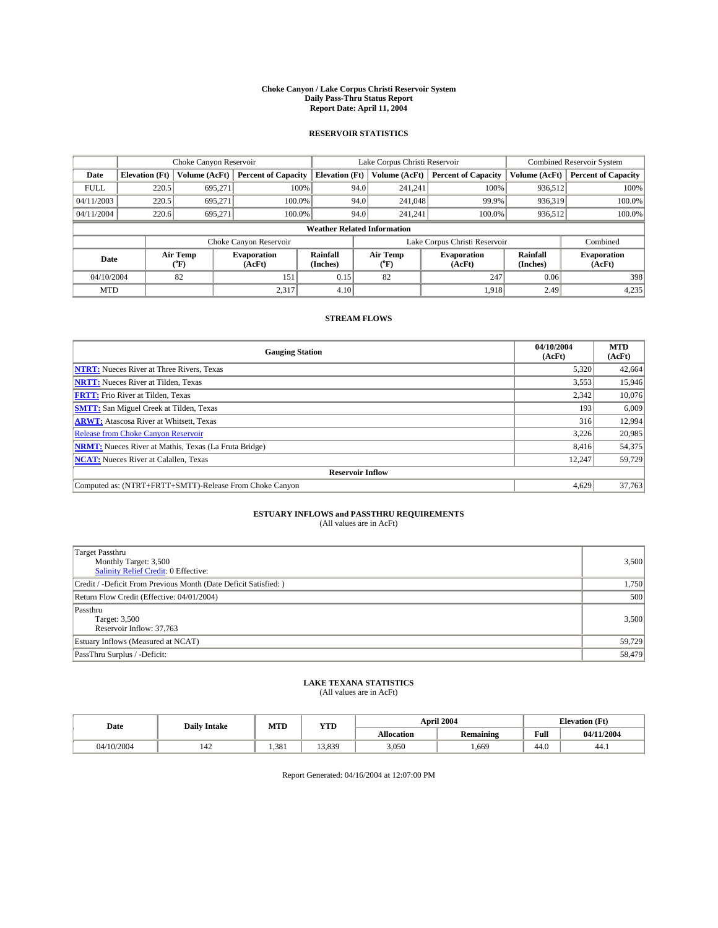#### **Choke Canyon / Lake Corpus Christi Reservoir System Daily Pass-Thru Status Report Report Date: April 11, 2004**

#### **RESERVOIR STATISTICS**

|             | Choke Canyon Reservoir             |                             |                              |                             | Lake Corpus Christi Reservoir |                  |                               |                      | <b>Combined Reservoir System</b> |  |  |
|-------------|------------------------------------|-----------------------------|------------------------------|-----------------------------|-------------------------------|------------------|-------------------------------|----------------------|----------------------------------|--|--|
| Date        | <b>Elevation</b> (Ft)              | Volume (AcFt)               | <b>Percent of Capacity</b>   | <b>Elevation</b> (Ft)       |                               | Volume (AcFt)    | <b>Percent of Capacity</b>    | Volume (AcFt)        | <b>Percent of Capacity</b>       |  |  |
| <b>FULL</b> | 220.5                              | 695,271                     | 100%                         |                             | 94.0                          | 241,241          | 100%                          | 936.512              | 100%                             |  |  |
| 04/11/2003  | 220.5                              | 695.271                     | $100.0\%$                    |                             | 94.0                          | 241,048          | 99.9%                         | 936.319              | 100.0%                           |  |  |
| 04/11/2004  | 220.6                              | 695.271                     | 100.0%                       |                             | 94.0                          | 241.241          | $100.0\%$                     | 936,512              | 100.0%                           |  |  |
|             | <b>Weather Related Information</b> |                             |                              |                             |                               |                  |                               |                      |                                  |  |  |
|             |                                    |                             | Choke Canyon Reservoir       |                             |                               |                  | Lake Corpus Christi Reservoir |                      | Combined                         |  |  |
| Date        |                                    | Air Temp<br>${}^{\circ}$ F) | <b>Evaporation</b><br>(AcFt) | <b>Rainfall</b><br>(Inches) |                               | Air Temp<br>("F) | <b>Evaporation</b><br>(AcFt)  | Rainfall<br>(Inches) | <b>Evaporation</b><br>(AcFt)     |  |  |
| 04/10/2004  |                                    | 82                          | 151                          | 0.15                        |                               | 82               | 247                           | 0.06                 | 398                              |  |  |
| <b>MTD</b>  |                                    |                             | 2,317                        | 4.10                        |                               |                  | 1,918                         | 2.49                 | 4,235                            |  |  |

### **STREAM FLOWS**

| <b>Gauging Station</b>                                       | 04/10/2004<br>(AcFt) | <b>MTD</b><br>(AcFt) |
|--------------------------------------------------------------|----------------------|----------------------|
| <b>NTRT:</b> Nueces River at Three Rivers, Texas             | 5,320                | 42,664               |
| <b>NRTT:</b> Nueces River at Tilden, Texas                   | 3,553                | 15,946               |
| <b>FRTT:</b> Frio River at Tilden, Texas                     | 2,342                | 10,076               |
| <b>SMTT:</b> San Miguel Creek at Tilden, Texas               | 193                  | 6,009                |
| <b>ARWT:</b> Atascosa River at Whitsett, Texas               | 316                  | 12,994               |
| <b>Release from Choke Canyon Reservoir</b>                   | 3.226                | 20,985               |
| <b>NRMT:</b> Nueces River at Mathis, Texas (La Fruta Bridge) | 8.416                | 54,375               |
| <b>NCAT:</b> Nueces River at Calallen, Texas                 | 12,247               | 59,729               |
| <b>Reservoir Inflow</b>                                      |                      |                      |
| Computed as: (NTRT+FRTT+SMTT)-Release From Choke Canyon      | 4,629                | 37,763               |

# **ESTUARY INFLOWS and PASSTHRU REQUIREMENTS**<br>(All values are in AcFt)

| <b>Target Passthru</b><br>Monthly Target: 3,500<br>Salinity Relief Credit: 0 Effective: | 3,500  |
|-----------------------------------------------------------------------------------------|--------|
| Credit / -Deficit From Previous Month (Date Deficit Satisfied: )                        | 1,750  |
| Return Flow Credit (Effective: 04/01/2004)                                              | 500    |
| Passthru<br>Target: 3,500<br>Reservoir Inflow: 37,763                                   | 3,500  |
| Estuary Inflows (Measured at NCAT)                                                      | 59,729 |
| PassThru Surplus / -Deficit:                                                            | 58,479 |

# **LAKE TEXANA STATISTICS** (All values are in AcFt)

| Date       | <b>Daily Intake</b> | MTD   | <b>YTD</b> |                   | April 2004                               | <b>Elevation</b> (Ft) |            |
|------------|---------------------|-------|------------|-------------------|------------------------------------------|-----------------------|------------|
|            |                     |       |            | <b>Allocation</b> | $\ddot{\phantom{a}}$<br><b>Remaining</b> | Full                  | 04/11/2004 |
| 04/10/2004 | 142                 | 1.381 | 13.839     | 3,050             | .669                                     | $\sim$<br>44.0        | 44.1       |

Report Generated: 04/16/2004 at 12:07:00 PM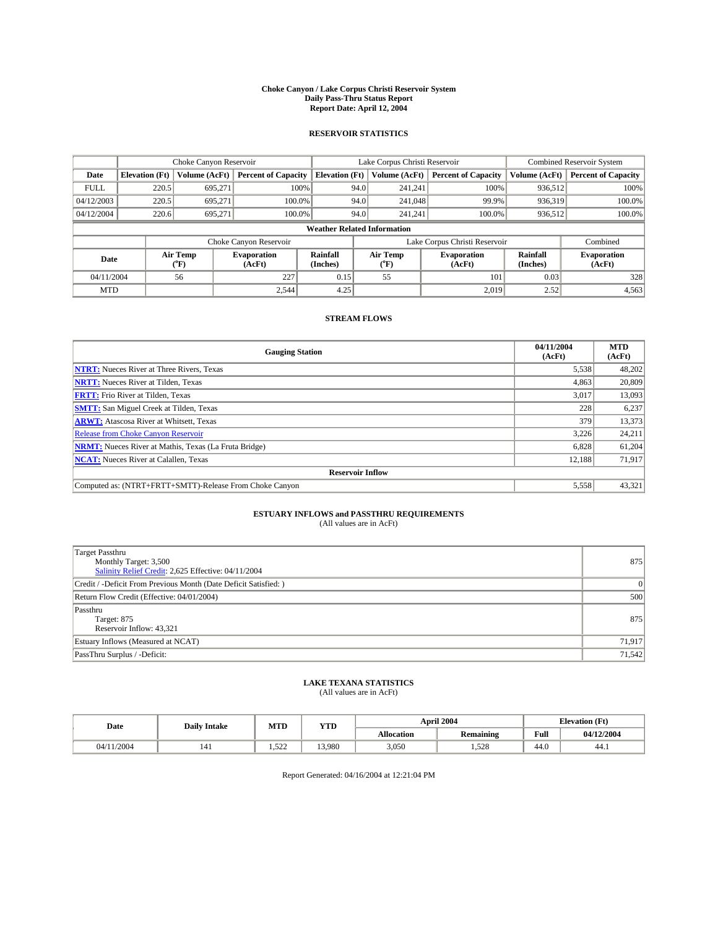#### **Choke Canyon / Lake Corpus Christi Reservoir System Daily Pass-Thru Status Report Report Date: April 12, 2004**

#### **RESERVOIR STATISTICS**

|             | Choke Canyon Reservoir             |                             |                              |                             | Lake Corpus Christi Reservoir |                  |                               |                      | <b>Combined Reservoir System</b> |  |  |
|-------------|------------------------------------|-----------------------------|------------------------------|-----------------------------|-------------------------------|------------------|-------------------------------|----------------------|----------------------------------|--|--|
| Date        | <b>Elevation</b> (Ft)              | Volume (AcFt)               | <b>Percent of Capacity</b>   | <b>Elevation</b> (Ft)       |                               | Volume (AcFt)    | <b>Percent of Capacity</b>    | Volume (AcFt)        | <b>Percent of Capacity</b>       |  |  |
| <b>FULL</b> | 220.5                              | 695,271                     | 100%                         |                             | 94.0                          | 241,241          | 100%                          | 936.512              | 100%                             |  |  |
| 04/12/2003  | 220.5                              | 695.271                     | $100.0\%$                    |                             | 94.0                          | 241,048          | 99.9%                         | 936,319              | 100.0%                           |  |  |
| 04/12/2004  | 220.6                              | 695.271                     | 100.0%                       |                             | 94.0                          | 241.241          | $100.0\%$                     | 936,512              | 100.0%                           |  |  |
|             | <b>Weather Related Information</b> |                             |                              |                             |                               |                  |                               |                      |                                  |  |  |
|             |                                    |                             | Choke Canyon Reservoir       |                             |                               |                  | Lake Corpus Christi Reservoir |                      | Combined                         |  |  |
| Date        |                                    | Air Temp<br>${}^{\circ}$ F) | <b>Evaporation</b><br>(AcFt) | <b>Rainfall</b><br>(Inches) |                               | Air Temp<br>("F) | <b>Evaporation</b><br>(AcFt)  | Rainfall<br>(Inches) | <b>Evaporation</b><br>(AcFt)     |  |  |
| 04/11/2004  |                                    | 56                          | 227                          | 0.15                        |                               | 55               | 101                           | 0.03                 | 328                              |  |  |
| <b>MTD</b>  |                                    |                             | 2.544                        | 4.25                        |                               |                  | 2,019                         | 2.52                 | 4,563                            |  |  |

### **STREAM FLOWS**

| <b>Gauging Station</b>                                       | 04/11/2004<br>(AcFt) | <b>MTD</b><br>(AcFt) |
|--------------------------------------------------------------|----------------------|----------------------|
| <b>NTRT:</b> Nueces River at Three Rivers, Texas             | 5,538                | 48,202               |
| <b>NRTT:</b> Nueces River at Tilden, Texas                   | 4,863                | 20.809               |
| <b>FRTT:</b> Frio River at Tilden, Texas                     | 3,017                | 13,093               |
| <b>SMTT:</b> San Miguel Creek at Tilden, Texas               | 228                  | 6,237                |
| <b>ARWT:</b> Atascosa River at Whitsett, Texas               | 379                  | 13,373               |
| <b>Release from Choke Canyon Reservoir</b>                   | 3,226                | 24,211               |
| <b>NRMT:</b> Nueces River at Mathis, Texas (La Fruta Bridge) | 6,828                | 61,204               |
| <b>NCAT:</b> Nueces River at Calallen, Texas                 | 12,188               | 71,917               |
| <b>Reservoir Inflow</b>                                      |                      |                      |
| Computed as: (NTRT+FRTT+SMTT)-Release From Choke Canyon      | 5,558                | 43,321               |

# **ESTUARY INFLOWS and PASSTHRU REQUIREMENTS**<br>(All values are in AcFt)

| Target Passthru<br>Monthly Target: 3,500<br>Salinity Relief Credit: 2,625 Effective: 04/11/2004 | 875      |
|-------------------------------------------------------------------------------------------------|----------|
| Credit / -Deficit From Previous Month (Date Deficit Satisfied: )                                | $\Omega$ |
| Return Flow Credit (Effective: 04/01/2004)                                                      | 500      |
| Passthru<br>Target: 875<br>Reservoir Inflow: 43,321                                             | 875      |
| Estuary Inflows (Measured at NCAT)                                                              | 71,917   |
| PassThru Surplus / -Deficit:                                                                    | 71,542   |

# **LAKE TEXANA STATISTICS** (All values are in AcFt)

| Date   | <b>Daily Intake</b> | MTD              | <b>YTD</b> | <b>April 2004</b> |                       | <b>Elevation (Ft)</b> |            |
|--------|---------------------|------------------|------------|-------------------|-----------------------|-----------------------|------------|
|        |                     |                  |            | <b>Allocation</b> | .<br><b>Remaining</b> | Full                  | 04/12/2004 |
| 1/2004 | 141                 | 523<br>شكل لاويد | 3.980      | 3,050             | .528                  | $\sim$<br>44.v        | 44.1       |

Report Generated: 04/16/2004 at 12:21:04 PM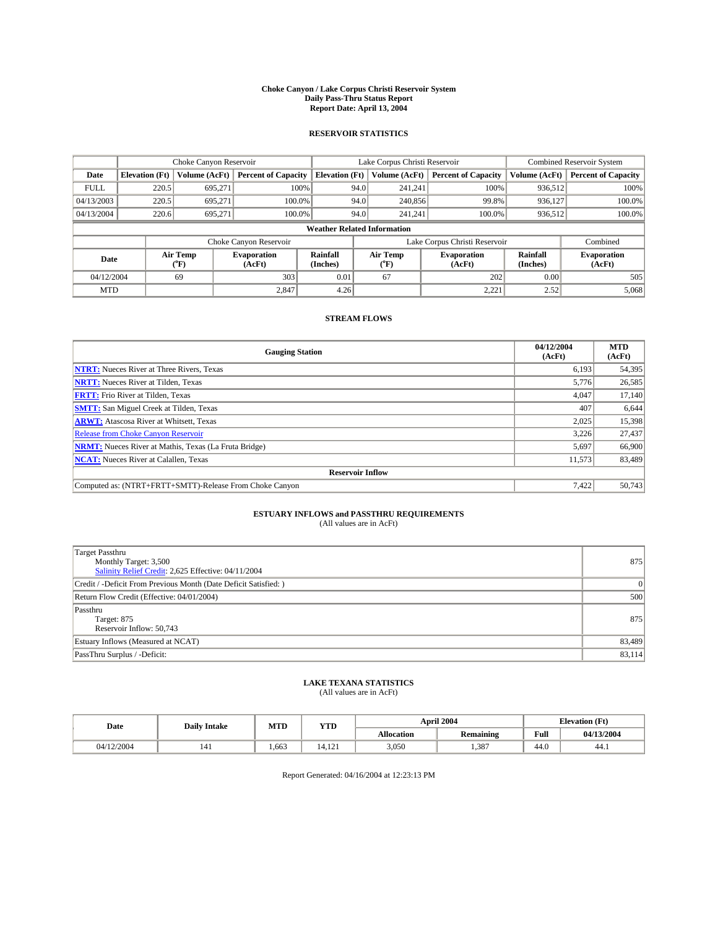#### **Choke Canyon / Lake Corpus Christi Reservoir System Daily Pass-Thru Status Report Report Date: April 13, 2004**

#### **RESERVOIR STATISTICS**

|             | Choke Canyon Reservoir             |                  | Lake Corpus Christi Reservoir |                             |      |                  | <b>Combined Reservoir System</b> |                      |                              |  |
|-------------|------------------------------------|------------------|-------------------------------|-----------------------------|------|------------------|----------------------------------|----------------------|------------------------------|--|
| Date        | <b>Elevation</b> (Ft)              | Volume (AcFt)    | <b>Percent of Capacity</b>    | <b>Elevation</b> (Ft)       |      | Volume (AcFt)    | <b>Percent of Capacity</b>       | Volume (AcFt)        | <b>Percent of Capacity</b>   |  |
| <b>FULL</b> | 220.5                              | 695,271          |                               | 100%                        | 94.0 | 241,241          | 100%                             | 936.512              | 100%                         |  |
| 04/13/2003  | 220.5                              | 695.271          | $100.0\%$                     |                             | 94.0 | 240,856          | 99.8%                            | 936.127              | 100.0%                       |  |
| 04/13/2004  | 220.6                              | 695.271          | 100.0%                        |                             | 94.0 | 241.241          | $100.0\%$                        | 936,512              | 100.0%                       |  |
|             | <b>Weather Related Information</b> |                  |                               |                             |      |                  |                                  |                      |                              |  |
|             |                                    |                  | Choke Canyon Reservoir        |                             |      |                  | Lake Corpus Christi Reservoir    |                      | Combined                     |  |
| Date        |                                    | Air Temp<br>(°F) | <b>Evaporation</b><br>(AcFt)  | <b>Rainfall</b><br>(Inches) |      | Air Temp<br>("F) | <b>Evaporation</b><br>(AcFt)     | Rainfall<br>(Inches) | <b>Evaporation</b><br>(AcFt) |  |
| 04/12/2004  |                                    | 69               | 303                           | 0.01                        |      | 67               | 202                              | 0.00                 | 505                          |  |
| <b>MTD</b>  |                                    |                  | 2,847                         | 4.26                        |      |                  | 2,221                            | 2.52                 | 5,068                        |  |

### **STREAM FLOWS**

| <b>Gauging Station</b>                                       | 04/12/2004<br>(AcFt) | <b>MTD</b><br>(AcFt) |
|--------------------------------------------------------------|----------------------|----------------------|
| <b>NTRT:</b> Nueces River at Three Rivers, Texas             | 6,193                | 54,395               |
| <b>NRTT:</b> Nueces River at Tilden, Texas                   | 5,776                | 26,585               |
| <b>FRTT:</b> Frio River at Tilden, Texas                     | 4,047                | 17,140               |
| <b>SMTT:</b> San Miguel Creek at Tilden, Texas               | 407                  | 6,644                |
| <b>ARWT:</b> Atascosa River at Whitsett, Texas               | 2,025                | 15,398               |
| <b>Release from Choke Canyon Reservoir</b>                   | 3,226                | 27,437               |
| <b>NRMT:</b> Nueces River at Mathis, Texas (La Fruta Bridge) | 5,697                | 66,900               |
| <b>NCAT:</b> Nueces River at Calallen, Texas                 | 11,573               | 83,489               |
| <b>Reservoir Inflow</b>                                      |                      |                      |
| Computed as: (NTRT+FRTT+SMTT)-Release From Choke Canyon      | 7.422                | 50,743               |

# **ESTUARY INFLOWS and PASSTHRU REQUIREMENTS**<br>(All values are in AcFt)

| Target Passthru<br>Monthly Target: 3,500<br>Salinity Relief Credit: 2,625 Effective: 04/11/2004 | 875      |
|-------------------------------------------------------------------------------------------------|----------|
| Credit / -Deficit From Previous Month (Date Deficit Satisfied: )                                | $\Omega$ |
| Return Flow Credit (Effective: 04/01/2004)                                                      | 500      |
| Passthru<br>Target: 875<br>Reservoir Inflow: 50,743                                             | 875      |
| Estuary Inflows (Measured at NCAT)                                                              | 83,489   |
| PassThru Surplus / -Deficit:                                                                    | 83,114   |

# **LAKE TEXANA STATISTICS** (All values are in AcFt)

| Date       | <b>Daily Intake</b> | MTD   | <b>YTD</b>             |                   | <b>April 2004</b> | <b>Elevation (Ft)</b> |            |
|------------|---------------------|-------|------------------------|-------------------|-------------------|-----------------------|------------|
|            |                     |       |                        | <b>Allocation</b> | <b>Remaining</b>  | Full                  | 04/13/2004 |
| 04/12/2004 | 141                 | 1.663 | $\mathbf{A}$<br>14.IZI | 3,050             | .387              | $\sim$<br>44.U        | 44.1       |

Report Generated: 04/16/2004 at 12:23:13 PM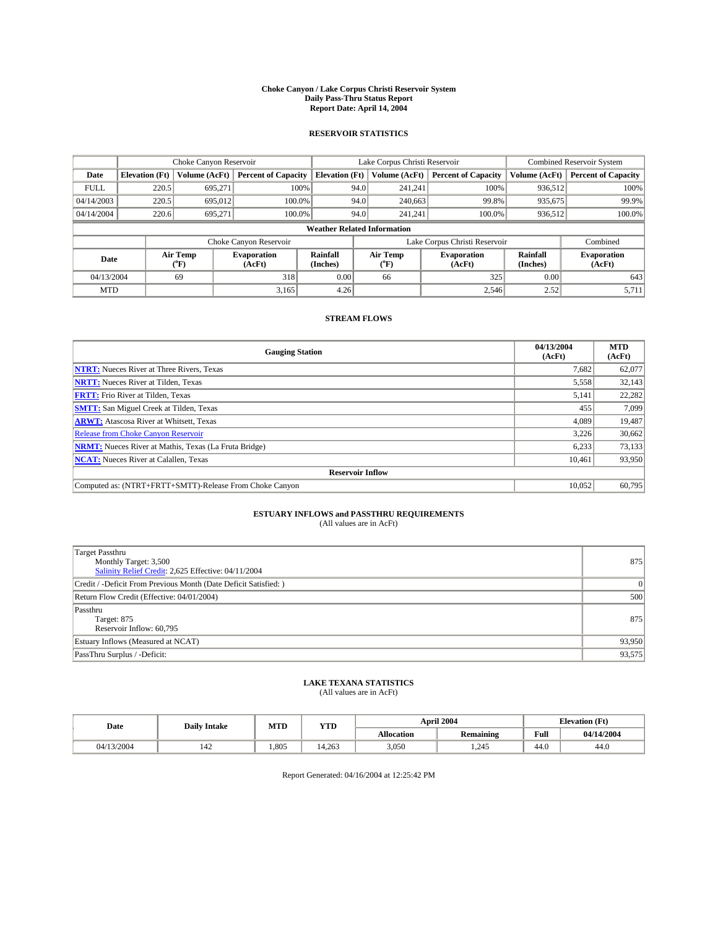#### **Choke Canyon / Lake Corpus Christi Reservoir System Daily Pass-Thru Status Report Report Date: April 14, 2004**

#### **RESERVOIR STATISTICS**

|             | Choke Canyon Reservoir             |                  | Lake Corpus Christi Reservoir |                             |      |                  | <b>Combined Reservoir System</b> |                      |                              |  |
|-------------|------------------------------------|------------------|-------------------------------|-----------------------------|------|------------------|----------------------------------|----------------------|------------------------------|--|
| Date        | <b>Elevation</b> (Ft)              | Volume (AcFt)    | <b>Percent of Capacity</b>    | <b>Elevation</b> (Ft)       |      | Volume (AcFt)    | <b>Percent of Capacity</b>       | Volume (AcFt)        | <b>Percent of Capacity</b>   |  |
| <b>FULL</b> | 220.5                              | 695,271          |                               | 100%                        | 94.0 | 241,241          | 100%                             | 936.512              | 100%                         |  |
| 04/14/2003  | 220.5                              | 695,012          | $100.0\%$                     |                             | 94.0 | 240,663          | 99.8%                            | 935,675              | 99.9%                        |  |
| 04/14/2004  | 220.6                              | 695.271          | 100.0%                        |                             | 94.0 | 241.241          | $100.0\%$                        | 936,512              | 100.0%                       |  |
|             | <b>Weather Related Information</b> |                  |                               |                             |      |                  |                                  |                      |                              |  |
|             |                                    |                  | Choke Canyon Reservoir        |                             |      |                  | Lake Corpus Christi Reservoir    |                      | Combined                     |  |
| Date        |                                    | Air Temp<br>(°F) | <b>Evaporation</b><br>(AcFt)  | <b>Rainfall</b><br>(Inches) |      | Air Temp<br>("F) | <b>Evaporation</b><br>(AcFt)     | Rainfall<br>(Inches) | <b>Evaporation</b><br>(AcFt) |  |
| 04/13/2004  |                                    | 69               | 318                           | 0.00                        |      | 66               | 325                              | 0.00                 | 643                          |  |
| <b>MTD</b>  |                                    |                  | 3,165                         | 4.26                        |      |                  | 2,546                            | 2.52                 | 5,711                        |  |

### **STREAM FLOWS**

| <b>Gauging Station</b>                                       | 04/13/2004<br>(AcFt) | <b>MTD</b><br>(AcFt) |
|--------------------------------------------------------------|----------------------|----------------------|
| <b>NTRT:</b> Nueces River at Three Rivers, Texas             | 7,682                | 62,077               |
| <b>NRTT:</b> Nueces River at Tilden, Texas                   | 5,558                | 32,143               |
| <b>FRTT:</b> Frio River at Tilden, Texas                     | 5,141                | 22,282               |
| <b>SMTT:</b> San Miguel Creek at Tilden, Texas               | 455                  | 7,099                |
| <b>ARWT:</b> Atascosa River at Whitsett, Texas               | 4,089                | 19,487               |
| <b>Release from Choke Canyon Reservoir</b>                   | 3.226                | 30,662               |
| <b>NRMT:</b> Nueces River at Mathis, Texas (La Fruta Bridge) | 6,233                | 73,133               |
| <b>NCAT:</b> Nueces River at Calallen, Texas                 | 10,461               | 93,950               |
| <b>Reservoir Inflow</b>                                      |                      |                      |
| Computed as: (NTRT+FRTT+SMTT)-Release From Choke Canyon      | 10.052               | 60,795               |

# **ESTUARY INFLOWS and PASSTHRU REQUIREMENTS**<br>(All values are in AcFt)

| Target Passthru<br>Monthly Target: 3,500<br>Salinity Relief Credit: 2,625 Effective: 04/11/2004 | 875      |
|-------------------------------------------------------------------------------------------------|----------|
| Credit / -Deficit From Previous Month (Date Deficit Satisfied: )                                | $\Omega$ |
| Return Flow Credit (Effective: 04/01/2004)                                                      | 500      |
| Passthru<br>Target: 875<br>Reservoir Inflow: 60,795                                             | 875      |
| Estuary Inflows (Measured at NCAT)                                                              | 93,950   |
| PassThru Surplus / -Deficit:                                                                    | 93,575   |

# **LAKE TEXANA STATISTICS** (All values are in AcFt)

| Date       | <b>Daily Intake</b> | MTD   | <b>YTD</b> |                   | <b>April 2004</b> | <b>Elevation</b> (Ft) |            |
|------------|---------------------|-------|------------|-------------------|-------------------|-----------------------|------------|
|            |                     |       |            | <b>Allocation</b> | <b>Remaining</b>  | Full                  | 04/14/2004 |
| 04/13/2004 | 142                 | 1.805 | 14.263     | 3,050             | 1.245             | 44.0                  | 44.0       |

Report Generated: 04/16/2004 at 12:25:42 PM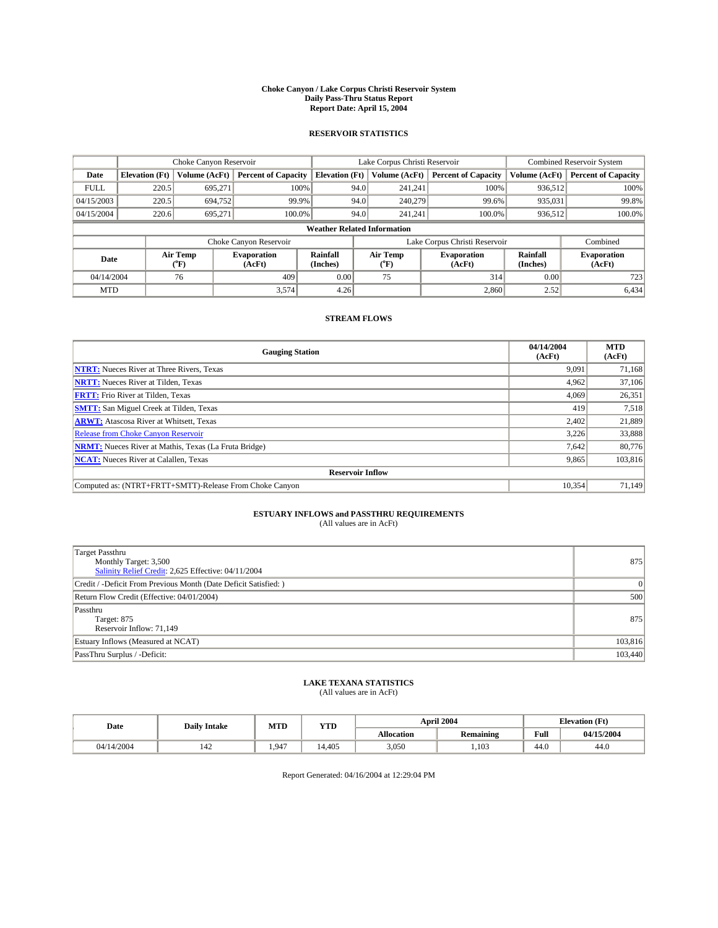#### **Choke Canyon / Lake Corpus Christi Reservoir System Daily Pass-Thru Status Report Report Date: April 15, 2004**

#### **RESERVOIR STATISTICS**

|                                    | Choke Canyon Reservoir |                             | Lake Corpus Christi Reservoir |                             |      |                  | <b>Combined Reservoir System</b> |                      |                              |
|------------------------------------|------------------------|-----------------------------|-------------------------------|-----------------------------|------|------------------|----------------------------------|----------------------|------------------------------|
| Date                               | <b>Elevation</b> (Ft)  | Volume (AcFt)               | <b>Percent of Capacity</b>    | <b>Elevation</b> (Ft)       |      | Volume (AcFt)    | <b>Percent of Capacity</b>       | Volume (AcFt)        | <b>Percent of Capacity</b>   |
| <b>FULL</b>                        | 220.5                  | 695,271                     |                               | 100%                        | 94.0 | 241,241          | 100%                             | 936.512              | 100%                         |
| 04/15/2003                         | 220.5                  | 694,752                     | 99.9%                         |                             | 94.0 | 240,279          | 99.6%                            | 935,031              | 99.8%                        |
| 04/15/2004                         | 220.6                  | 695.271                     | 100.0%                        |                             | 94.0 | 241.241          | $100.0\%$                        | 936,512              | 100.0%                       |
| <b>Weather Related Information</b> |                        |                             |                               |                             |      |                  |                                  |                      |                              |
|                                    |                        |                             | Choke Canyon Reservoir        |                             |      |                  | Lake Corpus Christi Reservoir    |                      | Combined                     |
| Date                               |                        | Air Temp<br>${}^{\circ}$ F) | <b>Evaporation</b><br>(AcFt)  | <b>Rainfall</b><br>(Inches) |      | Air Temp<br>("F) | <b>Evaporation</b><br>(AcFt)     | Rainfall<br>(Inches) | <b>Evaporation</b><br>(AcFt) |
| 04/14/2004                         |                        | 76                          | 409                           | 0.00                        |      | 75               | 314                              | 0.00                 | 723                          |
| <b>MTD</b>                         |                        |                             | 3,574                         | 4.26                        |      |                  | 2,860                            | 2.52                 | 6,434                        |

### **STREAM FLOWS**

| <b>Gauging Station</b>                                       | 04/14/2004<br>(AcFt) | <b>MTD</b><br>(AcFt) |  |  |  |  |  |  |
|--------------------------------------------------------------|----------------------|----------------------|--|--|--|--|--|--|
| <b>NTRT:</b> Nueces River at Three Rivers, Texas             | 9.091                | 71,168               |  |  |  |  |  |  |
| <b>NRTT:</b> Nueces River at Tilden, Texas                   | 4.962                | 37.106               |  |  |  |  |  |  |
| <b>FRTT:</b> Frio River at Tilden, Texas                     | 4.069                | 26,351               |  |  |  |  |  |  |
| <b>SMTT:</b> San Miguel Creek at Tilden, Texas               | 419                  | 7,518                |  |  |  |  |  |  |
| <b>ARWT:</b> Atascosa River at Whitsett, Texas               | 2,402                | 21,889               |  |  |  |  |  |  |
| Release from Choke Canyon Reservoir                          | 3,226                | 33,888               |  |  |  |  |  |  |
| <b>NRMT:</b> Nueces River at Mathis, Texas (La Fruta Bridge) | 7,642                | 80,776               |  |  |  |  |  |  |
| <b>NCAT:</b> Nueces River at Calallen, Texas                 | 9,865                | 103,816              |  |  |  |  |  |  |
| <b>Reservoir Inflow</b>                                      |                      |                      |  |  |  |  |  |  |
| Computed as: (NTRT+FRTT+SMTT)-Release From Choke Canyon      | 10.354               | 71.149               |  |  |  |  |  |  |

# **ESTUARY INFLOWS and PASSTHRU REQUIREMENTS**<br>(All values are in AcFt)

| Target Passthru<br>Monthly Target: 3,500<br>Salinity Relief Credit: 2,625 Effective: 04/11/2004 | 875     |
|-------------------------------------------------------------------------------------------------|---------|
| Credit / -Deficit From Previous Month (Date Deficit Satisfied: )                                | 0       |
| Return Flow Credit (Effective: 04/01/2004)                                                      | 500     |
| Passthru<br>Target: 875<br>Reservoir Inflow: 71,149                                             | 875     |
| Estuary Inflows (Measured at NCAT)                                                              | 103,816 |
| PassThru Surplus / -Deficit:                                                                    | 103,440 |

# **LAKE TEXANA STATISTICS** (All values are in AcFt)

| Date       | <b>Daily Intake</b>             | MTD  | YTD    |                   | <b>April 2004</b> | <b>Elevation</b> (Ft) |            |
|------------|---------------------------------|------|--------|-------------------|-------------------|-----------------------|------------|
|            |                                 |      |        | <b>Allocation</b> | <b>Remaining</b>  | Full                  | 04/15/2004 |
| 04/14/2004 | $\overline{\phantom{a}}$<br>142 | .947 | 14.405 | 3,050             | ,103              | $\sim$<br>44.V        | 44.0       |

Report Generated: 04/16/2004 at 12:29:04 PM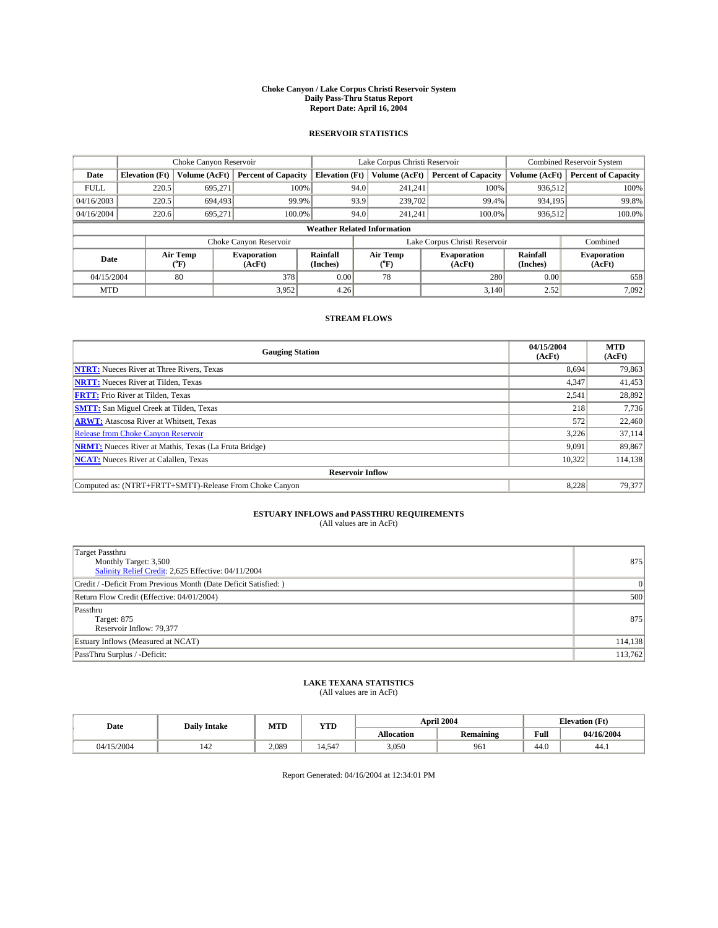#### **Choke Canyon / Lake Corpus Christi Reservoir System Daily Pass-Thru Status Report Report Date: April 16, 2004**

#### **RESERVOIR STATISTICS**

|             | Choke Canyon Reservoir             |                  |                              |                             | Lake Corpus Christi Reservoir |                  |                              |                      | <b>Combined Reservoir System</b> |  |  |
|-------------|------------------------------------|------------------|------------------------------|-----------------------------|-------------------------------|------------------|------------------------------|----------------------|----------------------------------|--|--|
| Date        | <b>Elevation</b> (Ft)              | Volume (AcFt)    | <b>Percent of Capacity</b>   | <b>Elevation</b> (Ft)       |                               | Volume (AcFt)    | <b>Percent of Capacity</b>   | Volume (AcFt)        | <b>Percent of Capacity</b>       |  |  |
| <b>FULL</b> | 220.5                              | 695,271          |                              | 100%                        | 94.0                          | 241,241          | 100%                         | 936.512              | 100%                             |  |  |
| 04/16/2003  | 220.5                              | 694,493          | 99.9%                        |                             | 93.9                          | 239,702          | 99.4%                        | 934.195              | 99.8%                            |  |  |
| 04/16/2004  | 220.6                              | 695.271          | 100.0%                       |                             | 94.0                          | 241.241          | $100.0\%$                    | 936,512              | 100.0%                           |  |  |
|             | <b>Weather Related Information</b> |                  |                              |                             |                               |                  |                              |                      |                                  |  |  |
|             |                                    |                  | Choke Canyon Reservoir       |                             | Lake Corpus Christi Reservoir |                  |                              |                      | Combined                         |  |  |
| Date        |                                    | Air Temp<br>(°F) | <b>Evaporation</b><br>(AcFt) | <b>Rainfall</b><br>(Inches) |                               | Air Temp<br>("F) | <b>Evaporation</b><br>(AcFt) | Rainfall<br>(Inches) | <b>Evaporation</b><br>(AcFt)     |  |  |
| 04/15/2004  |                                    | 80               | 378                          | 0.00                        |                               | 78               | 280                          | 0.00                 | 658                              |  |  |
| <b>MTD</b>  |                                    |                  | 3,952                        | 4.26                        |                               |                  | 3,140                        | 2.52                 | 7,092                            |  |  |

### **STREAM FLOWS**

| <b>Gauging Station</b>                                       | 04/15/2004<br>(AcFt) | <b>MTD</b><br>(AcFt) |  |  |  |  |
|--------------------------------------------------------------|----------------------|----------------------|--|--|--|--|
| <b>NTRT:</b> Nueces River at Three Rivers, Texas             | 8.694                | 79,863               |  |  |  |  |
| <b>NRTT:</b> Nueces River at Tilden, Texas                   | 4,347                | 41,453               |  |  |  |  |
| <b>FRTT:</b> Frio River at Tilden, Texas                     | 2,541                | 28,892               |  |  |  |  |
| <b>SMTT:</b> San Miguel Creek at Tilden, Texas               | 218                  | 7,736                |  |  |  |  |
| <b>ARWT:</b> Atascosa River at Whitsett, Texas               | 572                  | 22,460               |  |  |  |  |
| Release from Choke Canyon Reservoir                          | 3.226                | 37,114               |  |  |  |  |
| <b>NRMT:</b> Nueces River at Mathis, Texas (La Fruta Bridge) | 9,091                | 89,867               |  |  |  |  |
| <b>NCAT:</b> Nueces River at Calallen, Texas                 | 10.322               | 114,138              |  |  |  |  |
| <b>Reservoir Inflow</b>                                      |                      |                      |  |  |  |  |
| Computed as: (NTRT+FRTT+SMTT)-Release From Choke Canyon      | 8.228                | 79.377               |  |  |  |  |

# **ESTUARY INFLOWS and PASSTHRU REQUIREMENTS**<br>(All values are in AcFt)

| Target Passthru<br>Monthly Target: 3,500<br>Salinity Relief Credit: 2,625 Effective: 04/11/2004 | 875     |
|-------------------------------------------------------------------------------------------------|---------|
| Credit / -Deficit From Previous Month (Date Deficit Satisfied: )                                | 0       |
| Return Flow Credit (Effective: 04/01/2004)                                                      | 500     |
| Passthru<br>Target: 875<br>Reservoir Inflow: 79,377                                             | 875     |
| Estuary Inflows (Measured at NCAT)                                                              | 114,138 |
| PassThru Surplus / -Deficit:                                                                    | 113,762 |

# **LAKE TEXANA STATISTICS** (All values are in AcFt)

| Date       | <b>Daily Intake</b> | MTD   | <b>YTD</b>    |                   | <b>April 2004</b> | <b>Elevation (Ft)</b> |            |
|------------|---------------------|-------|---------------|-------------------|-------------------|-----------------------|------------|
|            |                     |       |               | <b>Allocation</b> | <b>Remaining</b>  | Full                  | 04/16/2004 |
| 04/15/2004 | 142                 | 2,089 | $-1-$<br>4.54 | 3,050             | 961               | $\sim$<br>44.U        | 44.1       |

Report Generated: 04/16/2004 at 12:34:01 PM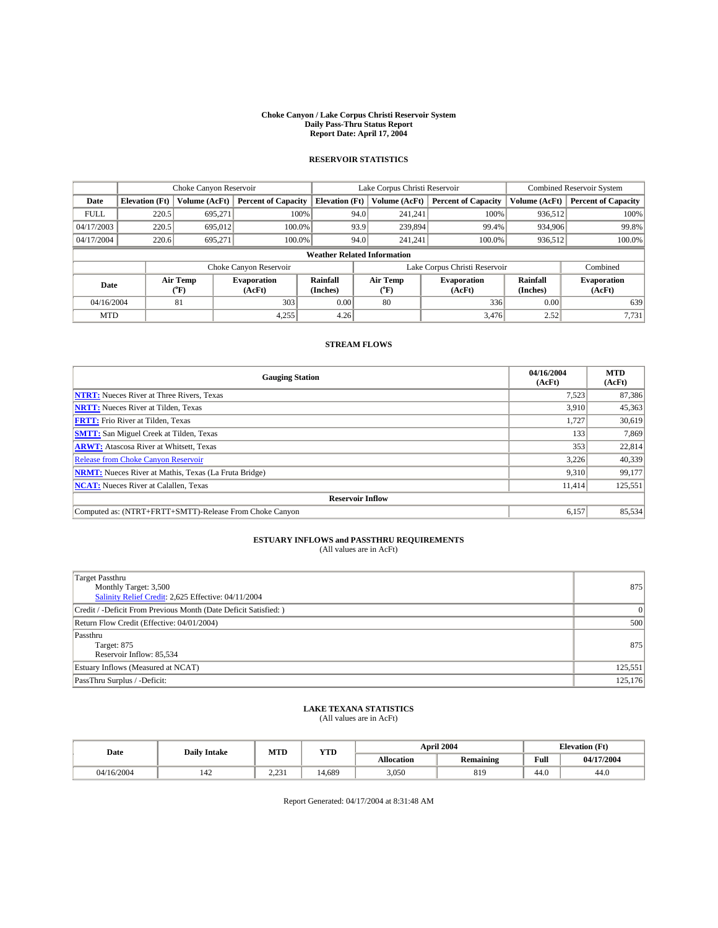#### **Choke Canyon / Lake Corpus Christi Reservoir System Daily Pass-Thru Status Report Report Date: April 17, 2004**

## **RESERVOIR STATISTICS**

|                                    | Choke Canyon Reservoir |                      |                              |                       | Lake Corpus Christi Reservoir |                  |                              |                      | <b>Combined Reservoir System</b> |  |  |
|------------------------------------|------------------------|----------------------|------------------------------|-----------------------|-------------------------------|------------------|------------------------------|----------------------|----------------------------------|--|--|
| Date                               | <b>Elevation</b> (Ft)  | <b>Volume (AcFt)</b> | <b>Percent of Capacity</b>   | <b>Elevation (Ft)</b> |                               | Volume (AcFt)    | <b>Percent of Capacity</b>   | Volume (AcFt)        | <b>Percent of Capacity</b>       |  |  |
| <b>FULL</b>                        | 220.5                  | 695.271              | 100%                         |                       | 94.0                          | 241,241          | 100%                         | 936,512              | 100%                             |  |  |
| 04/17/2003                         | 220.5                  | 695,012              | 100.0%                       |                       | 93.9                          | 239,894          | 99.4%                        | 934,906              | 99.8%                            |  |  |
| 04/17/2004                         | 220.6                  | 695,271              | 100.0%                       |                       | 94.0                          | 241,241          | 100.0%                       | 936,512              | 100.0%                           |  |  |
| <b>Weather Related Information</b> |                        |                      |                              |                       |                               |                  |                              |                      |                                  |  |  |
|                                    |                        |                      | Choke Canyon Reservoir       |                       | Lake Corpus Christi Reservoir |                  |                              |                      | Combined                         |  |  |
| Date                               |                        | Air Temp<br>(°F)     | <b>Evaporation</b><br>(AcFt) | Rainfall<br>(Inches)  |                               | Air Temp<br>("F) | <b>Evaporation</b><br>(AcFt) | Rainfall<br>(Inches) | <b>Evaporation</b><br>(AcFt)     |  |  |
| 04/16/2004                         |                        | 81                   | 303                          | 0.00                  |                               | 80               | 336                          | 0.00                 | 639                              |  |  |
| <b>MTD</b>                         |                        |                      | 4,255                        | 4.26                  |                               |                  | 3,476                        | 2.52                 | 7,731                            |  |  |

### **STREAM FLOWS**

| <b>Gauging Station</b>                                       | 04/16/2004<br>(AcFt) | <b>MTD</b><br>(AcFt) |  |  |  |  |  |
|--------------------------------------------------------------|----------------------|----------------------|--|--|--|--|--|
| <b>NTRT:</b> Nueces River at Three Rivers, Texas             | 7,523                | 87,386               |  |  |  |  |  |
| <b>NRTT:</b> Nueces River at Tilden, Texas                   | 3,910                | 45,363               |  |  |  |  |  |
| <b>FRTT:</b> Frio River at Tilden, Texas                     | 1.727                | 30,619               |  |  |  |  |  |
| <b>SMTT:</b> San Miguel Creek at Tilden, Texas               | 133                  | 7,869                |  |  |  |  |  |
| <b>ARWT:</b> Atascosa River at Whitsett, Texas               | 353                  | 22,814               |  |  |  |  |  |
| <b>Release from Choke Canyon Reservoir</b>                   | 3,226                | 40,339               |  |  |  |  |  |
| <b>NRMT:</b> Nueces River at Mathis, Texas (La Fruta Bridge) | 9.310                | 99,177               |  |  |  |  |  |
| <b>NCAT:</b> Nueces River at Calallen, Texas                 | 11,414               | 125,551              |  |  |  |  |  |
| <b>Reservoir Inflow</b>                                      |                      |                      |  |  |  |  |  |
| Computed as: (NTRT+FRTT+SMTT)-Release From Choke Canyon      | 6.157                | 85,534               |  |  |  |  |  |

## **ESTUARY INFLOWS and PASSTHRU REQUIREMENTS**<br>(All values are in AcFt)

| Target Passthru<br>Monthly Target: 3,500<br>Salinity Relief Credit: 2,625 Effective: 04/11/2004 | 875     |
|-------------------------------------------------------------------------------------------------|---------|
| Credit / -Deficit From Previous Month (Date Deficit Satisfied: )                                |         |
| Return Flow Credit (Effective: 04/01/2004)                                                      | 500     |
| Passthru<br>Target: 875<br>Reservoir Inflow: 85,534                                             | 875     |
| Estuary Inflows (Measured at NCAT)                                                              | 125,551 |
| PassThru Surplus / -Deficit:                                                                    | 125,176 |

## **LAKE TEXANA STATISTICS** (All values are in AcFt)

| Date       | <b>Daily Intake</b> | MTD                  | <b>YTD</b> |                   | April 2004 |      | <b>Elevation</b> (Ft) |
|------------|---------------------|----------------------|------------|-------------------|------------|------|-----------------------|
|            |                     |                      |            | <b>Allocation</b> | Remaining  | Full | 04/17/2004            |
| 04/16/2004 | 142                 | 2 231<br>د ب سه د سه | 14.689     | 3,050             | 819        | 44.0 | 44.0                  |

Report Generated: 04/17/2004 at 8:31:48 AM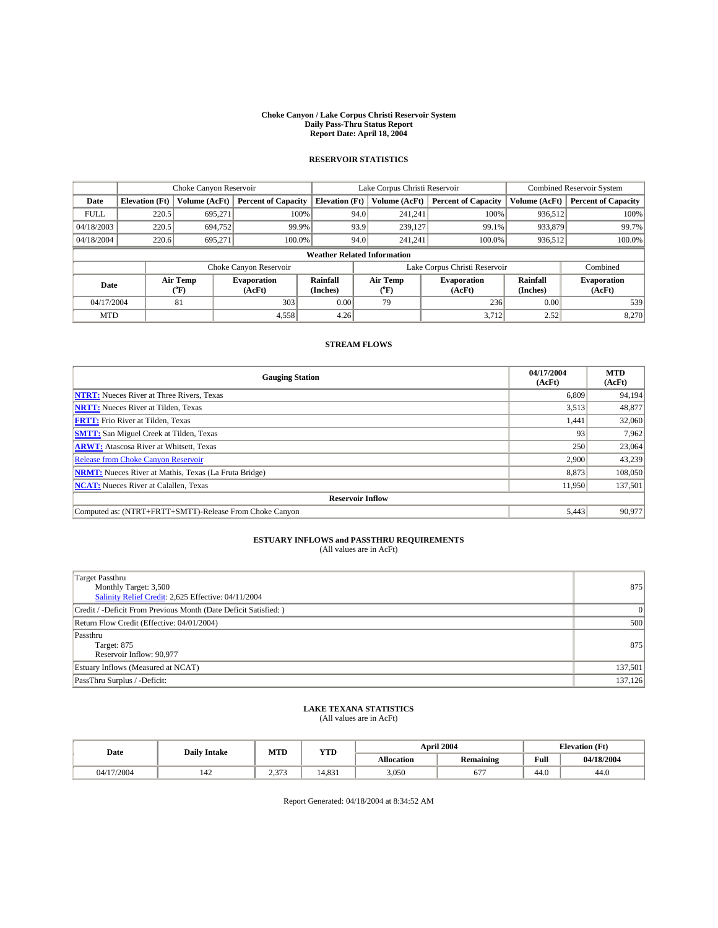#### **Choke Canyon / Lake Corpus Christi Reservoir System Daily Pass-Thru Status Report Report Date: April 18, 2004**

## **RESERVOIR STATISTICS**

|             | Choke Canyon Reservoir             |                  | Lake Corpus Christi Reservoir |                       |                               |                  | <b>Combined Reservoir System</b> |                      |                              |
|-------------|------------------------------------|------------------|-------------------------------|-----------------------|-------------------------------|------------------|----------------------------------|----------------------|------------------------------|
| Date        | <b>Elevation</b> (Ft)              | Volume (AcFt)    | <b>Percent of Capacity</b>    | <b>Elevation</b> (Ft) |                               | Volume (AcFt)    | <b>Percent of Capacity</b>       | Volume (AcFt)        | <b>Percent of Capacity</b>   |
| <b>FULL</b> | 220.5                              | 695,271          | 100%                          |                       | 94.0                          | 241,241          | 100%                             | 936,512              | 100%                         |
| 04/18/2003  | 220.5                              | 694,752          | 99.9%                         |                       | 93.9                          | 239,127          | 99.1%                            | 933,879              | 99.7%                        |
| 04/18/2004  | 220.6                              | 695.271          | $100.0\%$                     |                       | 94.0                          | 241,241          | 100.0%                           | 936,512              | 100.0%                       |
|             | <b>Weather Related Information</b> |                  |                               |                       |                               |                  |                                  |                      |                              |
|             |                                    |                  | Choke Canyon Reservoir        |                       | Lake Corpus Christi Reservoir |                  |                                  | Combined             |                              |
| Date        |                                    | Air Temp<br>(°F) | <b>Evaporation</b><br>(AcFt)  | Rainfall<br>(Inches)  |                               | Air Temp<br>("F) | <b>Evaporation</b><br>(AcFt)     | Rainfall<br>(Inches) | <b>Evaporation</b><br>(AcFt) |
| 04/17/2004  |                                    | 81               | 303                           | 0.00                  |                               | 79               | 236                              | 0.00                 | 539                          |
| <b>MTD</b>  |                                    |                  | 4,558                         | 4.26                  |                               |                  | 3,712                            | 2.52                 | 8,270                        |

### **STREAM FLOWS**

| <b>Gauging Station</b>                                       | 04/17/2004<br>(AcFt) | <b>MTD</b><br>(AcFt) |  |  |  |  |  |  |
|--------------------------------------------------------------|----------------------|----------------------|--|--|--|--|--|--|
| <b>NTRT:</b> Nueces River at Three Rivers, Texas             | 6,809                | 94,194               |  |  |  |  |  |  |
| <b>NRTT:</b> Nueces River at Tilden, Texas                   | 3,513                | 48,877               |  |  |  |  |  |  |
| <b>FRTT:</b> Frio River at Tilden, Texas                     | 441. ا               | 32,060               |  |  |  |  |  |  |
| <b>SMTT:</b> San Miguel Creek at Tilden, Texas               | 93                   | 7,962                |  |  |  |  |  |  |
| <b>ARWT:</b> Atascosa River at Whitsett, Texas               | 250                  | 23,064               |  |  |  |  |  |  |
| Release from Choke Canyon Reservoir                          | 2,900                | 43,239               |  |  |  |  |  |  |
| <b>NRMT:</b> Nueces River at Mathis, Texas (La Fruta Bridge) | 8.873                | 108,050              |  |  |  |  |  |  |
| <b>NCAT:</b> Nueces River at Calallen, Texas                 | 11,950               | 137,501              |  |  |  |  |  |  |
| <b>Reservoir Inflow</b>                                      |                      |                      |  |  |  |  |  |  |
| Computed as: (NTRT+FRTT+SMTT)-Release From Choke Canyon      | 5,443                | 90.977               |  |  |  |  |  |  |

## **ESTUARY INFLOWS and PASSTHRU REQUIREMENTS**<br>(All values are in AcFt)

| <b>Target Passthru</b><br>Monthly Target: 3,500<br>Salinity Relief Credit: 2,625 Effective: 04/11/2004 | 875     |
|--------------------------------------------------------------------------------------------------------|---------|
| Credit / -Deficit From Previous Month (Date Deficit Satisfied: )                                       |         |
| Return Flow Credit (Effective: 04/01/2004)                                                             | 500     |
| Passthru<br>Target: 875<br>Reservoir Inflow: 90,977                                                    | 875     |
| Estuary Inflows (Measured at NCAT)                                                                     | 137,501 |
| PassThru Surplus / -Deficit:                                                                           | 137,126 |

## **LAKE TEXANA STATISTICS** (All values are in AcFt)

| Date       | <b>Daily Intake</b> | MTD   | YTD   |                   | <b>April 2004</b> | <b>Elevation</b> (Ft) |            |  |
|------------|---------------------|-------|-------|-------------------|-------------------|-----------------------|------------|--|
|            |                     |       |       | <b>Allocation</b> | Remaining         | Full                  | 04/18/2004 |  |
| 04/17/2004 | 142                 | 2.373 | 4.831 | 3,050             | $-$<br>67         | 44.0                  | 44.0       |  |

Report Generated: 04/18/2004 at 8:34:52 AM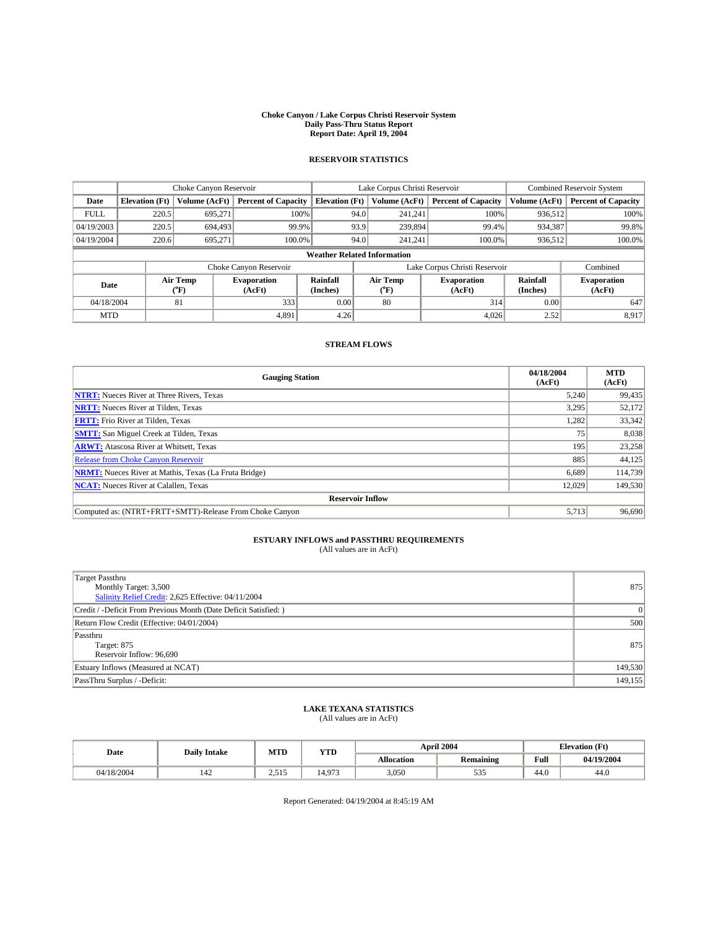#### **Choke Canyon / Lake Corpus Christi Reservoir System Daily Pass-Thru Status Report Report Date: April 19, 2004**

## **RESERVOIR STATISTICS**

|             | Choke Canyon Reservoir             |                          | Lake Corpus Christi Reservoir |                       |      |                  | <b>Combined Reservoir System</b> |                      |                              |  |
|-------------|------------------------------------|--------------------------|-------------------------------|-----------------------|------|------------------|----------------------------------|----------------------|------------------------------|--|
| Date        | <b>Elevation</b> (Ft)              | Volume (AcFt)            | <b>Percent of Capacity</b>    | <b>Elevation (Ft)</b> |      | Volume (AcFt)    | <b>Percent of Capacity</b>       | Volume (AcFt)        | <b>Percent of Capacity</b>   |  |
| <b>FULL</b> | 220.5                              | 695,271                  | 100%                          |                       | 94.0 | 241,241          | 100%                             | 936,512              | 100%                         |  |
| 04/19/2003  | 220.5                              | 694.493                  | 99.9%                         |                       | 93.9 | 239,894          | 99.4%                            | 934,387              | 99.8%                        |  |
| 04/19/2004  | 220.6                              | 695.271                  | $100.0\%$                     |                       | 94.0 | 241,241          | 100.0%                           | 936,512              | 100.0%                       |  |
|             | <b>Weather Related Information</b> |                          |                               |                       |      |                  |                                  |                      |                              |  |
|             |                                    |                          | Choke Canyon Reservoir        |                       |      |                  | Lake Corpus Christi Reservoir    |                      | Combined                     |  |
| Date        |                                    | Air Temp<br>$\rm ^{6}F)$ | <b>Evaporation</b><br>(AcFt)  | Rainfall<br>(Inches)  |      | Air Temp<br>("F) | <b>Evaporation</b><br>(AcFt)     | Rainfall<br>(Inches) | <b>Evaporation</b><br>(AcFt) |  |
| 04/18/2004  |                                    | 81                       | 333                           | 0.00                  |      | 80               | 314                              | 0.00                 | 647                          |  |
| <b>MTD</b>  |                                    |                          | 4,891                         | 4.26                  |      |                  | 4,026                            | 2.52                 | 8,917                        |  |

### **STREAM FLOWS**

| <b>Gauging Station</b>                                       | 04/18/2004<br>(AcFt) | <b>MTD</b><br>(AcFt) |  |  |  |  |  |
|--------------------------------------------------------------|----------------------|----------------------|--|--|--|--|--|
| <b>NTRT:</b> Nueces River at Three Rivers, Texas             | 5.240                | 99,435               |  |  |  |  |  |
| <b>NRTT:</b> Nueces River at Tilden, Texas                   | 3,295                | 52,172               |  |  |  |  |  |
| <b>FRTT:</b> Frio River at Tilden, Texas                     | 1,282                | 33,342               |  |  |  |  |  |
| <b>SMTT:</b> San Miguel Creek at Tilden, Texas               | 75                   | 8,038                |  |  |  |  |  |
| <b>ARWT:</b> Atascosa River at Whitsett, Texas               | 195                  | 23,258               |  |  |  |  |  |
| Release from Choke Canyon Reservoir                          | 885                  | 44,125               |  |  |  |  |  |
| <b>NRMT:</b> Nueces River at Mathis, Texas (La Fruta Bridge) | 6.689                | 114,739              |  |  |  |  |  |
| <b>NCAT:</b> Nueces River at Calallen, Texas                 | 12,029               | 149,530              |  |  |  |  |  |
| <b>Reservoir Inflow</b>                                      |                      |                      |  |  |  |  |  |
| Computed as: (NTRT+FRTT+SMTT)-Release From Choke Canyon      | 5.713                | 96,690               |  |  |  |  |  |

## **ESTUARY INFLOWS and PASSTHRU REQUIREMENTS**<br>(All values are in AcFt)

| <b>Target Passthru</b><br>Monthly Target: 3,500<br>Salinity Relief Credit: 2,625 Effective: 04/11/2004 | 875     |
|--------------------------------------------------------------------------------------------------------|---------|
| Credit / -Deficit From Previous Month (Date Deficit Satisfied: )                                       |         |
| Return Flow Credit (Effective: 04/01/2004)                                                             | 500     |
| Passthru<br>Target: 875<br>Reservoir Inflow: 96,690                                                    | 875     |
| Estuary Inflows (Measured at NCAT)                                                                     | 149,530 |
| PassThru Surplus / -Deficit:                                                                           | 149,155 |

## **LAKE TEXANA STATISTICS** (All values are in AcFt)

| Date       | <b>Daily Intake</b> | MTD   | <b>YTD</b> |                   | April 2004 |      | <b>Elevation</b> (Ft) |
|------------|---------------------|-------|------------|-------------------|------------|------|-----------------------|
|            |                     |       |            | <b>Allocation</b> | Remaining  | Full | 04/19/2004            |
| 04/18/2004 | 142                 | 2,515 | 4.973      | 3,050             | 535        | 44.0 | 44.0                  |

Report Generated: 04/19/2004 at 8:45:19 AM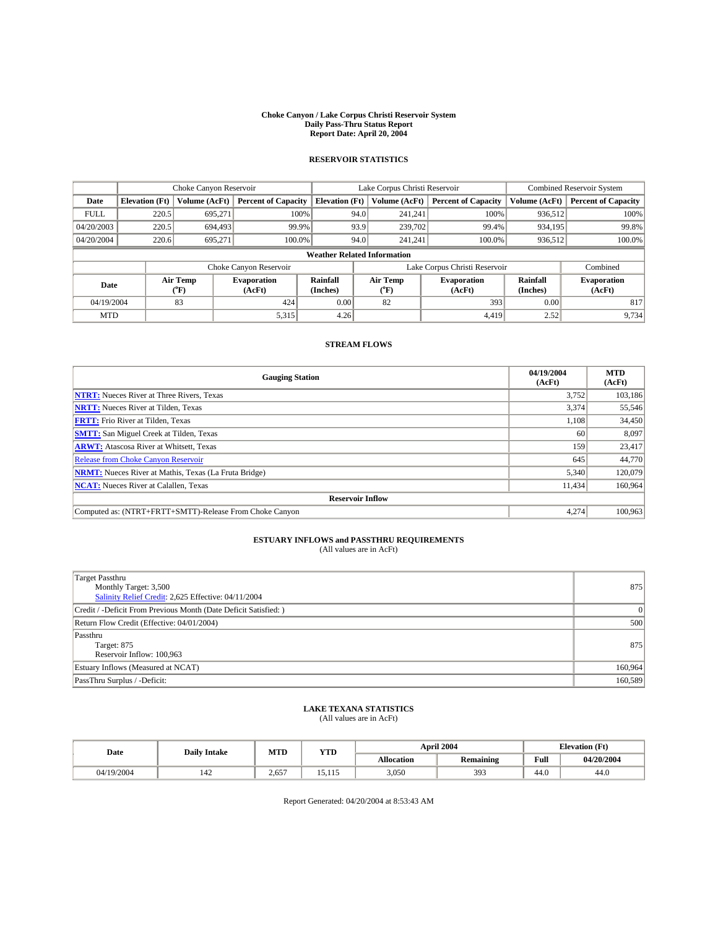#### **Choke Canyon / Lake Corpus Christi Reservoir System Daily Pass-Thru Status Report Report Date: April 20, 2004**

## **RESERVOIR STATISTICS**

|             | Choke Canyon Reservoir             |                      |                              |                       | Lake Corpus Christi Reservoir |                  |                               |                      | <b>Combined Reservoir System</b> |  |  |
|-------------|------------------------------------|----------------------|------------------------------|-----------------------|-------------------------------|------------------|-------------------------------|----------------------|----------------------------------|--|--|
| Date        | <b>Elevation</b> (Ft)              | <b>Volume (AcFt)</b> | <b>Percent of Capacity</b>   | <b>Elevation (Ft)</b> |                               | Volume (AcFt)    | <b>Percent of Capacity</b>    | Volume (AcFt)        | <b>Percent of Capacity</b>       |  |  |
| <b>FULL</b> | 220.5                              | 695.271              | 100%                         |                       | 94.0                          | 241,241          | 100%                          | 936,512              | 100%                             |  |  |
| 04/20/2003  | 220.5                              | 694.493              | 99.9%                        |                       | 93.9                          | 239,702          | 99.4%                         | 934,195              | 99.8%                            |  |  |
| 04/20/2004  | 220.6                              | 695,271              | 100.0%                       |                       | 94.0                          | 241,241          | 100.0%                        | 936,512              | 100.0%                           |  |  |
|             | <b>Weather Related Information</b> |                      |                              |                       |                               |                  |                               |                      |                                  |  |  |
|             |                                    |                      | Choke Canyon Reservoir       |                       |                               |                  | Lake Corpus Christi Reservoir |                      | Combined                         |  |  |
| Date        |                                    | Air Temp<br>(°F)     | <b>Evaporation</b><br>(AcFt) | Rainfall<br>(Inches)  |                               | Air Temp<br>("F) | <b>Evaporation</b><br>(AcFt)  | Rainfall<br>(Inches) | <b>Evaporation</b><br>(AcFt)     |  |  |
| 04/19/2004  |                                    | 83                   | 424                          | 0.00                  |                               | 82               | 393                           | 0.00                 | 817                              |  |  |
| <b>MTD</b>  |                                    |                      | 5,315                        | 4.26                  |                               |                  | 4,419                         | 2.52                 | 9,734                            |  |  |

### **STREAM FLOWS**

| <b>Gauging Station</b>                                       | 04/19/2004<br>(AcFt) | <b>MTD</b><br>(AcFt) |  |  |  |  |  |
|--------------------------------------------------------------|----------------------|----------------------|--|--|--|--|--|
| <b>NTRT:</b> Nueces River at Three Rivers, Texas             | 3,752                | 103,186              |  |  |  |  |  |
| <b>NRTT:</b> Nueces River at Tilden, Texas                   | 3.374                | 55,546               |  |  |  |  |  |
| <b>FRTT:</b> Frio River at Tilden, Texas                     | 1.108                | 34,450               |  |  |  |  |  |
| <b>SMTT:</b> San Miguel Creek at Tilden, Texas               | 60                   | 8,097                |  |  |  |  |  |
| <b>ARWT:</b> Atascosa River at Whitsett, Texas               | 159                  | 23,417               |  |  |  |  |  |
| Release from Choke Canyon Reservoir                          | 645                  | 44,770               |  |  |  |  |  |
| <b>NRMT:</b> Nueces River at Mathis, Texas (La Fruta Bridge) | 5.340                | 120,079              |  |  |  |  |  |
| <b>NCAT:</b> Nueces River at Calallen, Texas                 | 11,434               | 160,964              |  |  |  |  |  |
| <b>Reservoir Inflow</b>                                      |                      |                      |  |  |  |  |  |
| Computed as: (NTRT+FRTT+SMTT)-Release From Choke Canyon      | 4.274                | 100,963              |  |  |  |  |  |

## **ESTUARY INFLOWS and PASSTHRU REQUIREMENTS**<br>(All values are in AcFt)

| <b>Target Passthru</b><br>Monthly Target: 3,500<br>Salinity Relief Credit: 2,625 Effective: 04/11/2004 | 875     |
|--------------------------------------------------------------------------------------------------------|---------|
| Credit / -Deficit From Previous Month (Date Deficit Satisfied: )                                       |         |
| Return Flow Credit (Effective: 04/01/2004)                                                             | 500     |
| Passthru<br>Target: 875<br>Reservoir Inflow: 100,963                                                   | 875     |
| Estuary Inflows (Measured at NCAT)                                                                     | 160,964 |
| PassThru Surplus / -Deficit:                                                                           | 160,589 |

## **LAKE TEXANA STATISTICS** (All values are in AcFt)

| Date       | <b>Daily Intake</b> | MTD   | <b>YTD</b> |                   | April 2004 |      | <b>Elevation</b> (Ft) |
|------------|---------------------|-------|------------|-------------------|------------|------|-----------------------|
|            |                     |       |            | <b>Allocation</b> | Remaining  | Full | 04/20/2004            |
| 04/19/2004 | 142                 | 2.657 | 15.115     | 3,050             | 393        | 44.0 | 44.0                  |

Report Generated: 04/20/2004 at 8:53:43 AM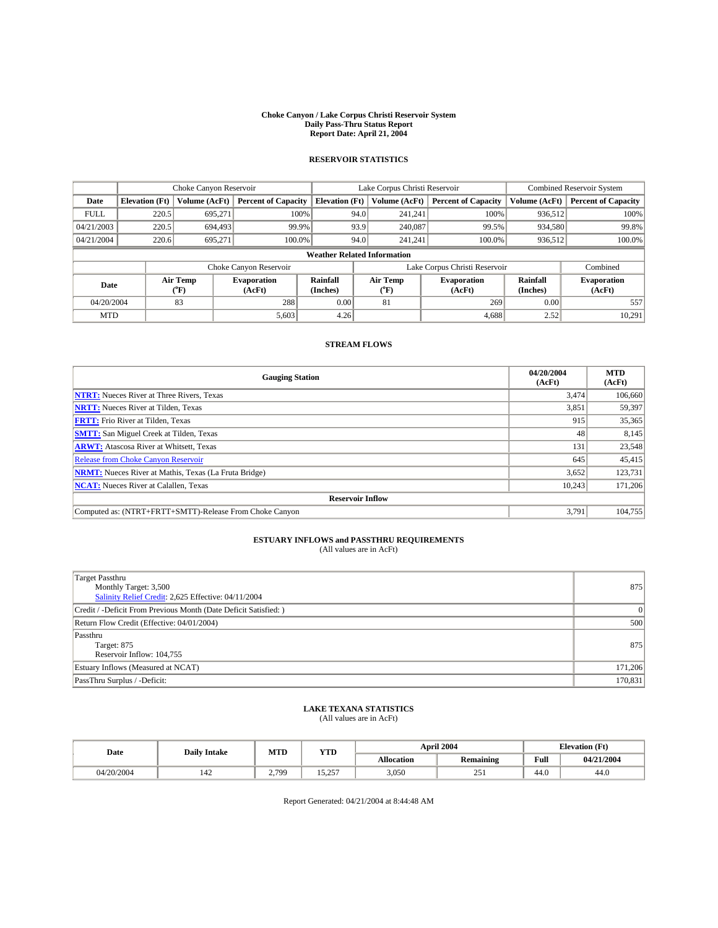#### **Choke Canyon / Lake Corpus Christi Reservoir System Daily Pass-Thru Status Report Report Date: April 21, 2004**

## **RESERVOIR STATISTICS**

|             | Choke Canyon Reservoir             |                      | Lake Corpus Christi Reservoir |                       |      |                  | Combined Reservoir System     |                      |                              |  |
|-------------|------------------------------------|----------------------|-------------------------------|-----------------------|------|------------------|-------------------------------|----------------------|------------------------------|--|
| Date        | <b>Elevation</b> (Ft)              | <b>Volume (AcFt)</b> | <b>Percent of Capacity</b>    | <b>Elevation (Ft)</b> |      | Volume (AcFt)    | <b>Percent of Capacity</b>    | Volume (AcFt)        | <b>Percent of Capacity</b>   |  |
| <b>FULL</b> | 220.5                              | 695,271              | 100%                          |                       | 94.0 | 241,241          | 100%                          | 936,512              | 100%                         |  |
| 04/21/2003  | 220.5                              | 694.493              | 99.9%                         |                       | 93.9 | 240,087          | 99.5%                         | 934,580              | 99.8%                        |  |
| 04/21/2004  | 220.6                              | 695,271              | 100.0%                        |                       | 94.0 | 241,241          | 100.0%                        | 936,512              | 100.0%                       |  |
|             | <b>Weather Related Information</b> |                      |                               |                       |      |                  |                               |                      |                              |  |
|             |                                    |                      | Choke Canyon Reservoir        |                       |      |                  | Lake Corpus Christi Reservoir |                      | Combined                     |  |
| Date        |                                    | Air Temp<br>(°F)     | <b>Evaporation</b><br>(AcFt)  | Rainfall<br>(Inches)  |      | Air Temp<br>("F) | <b>Evaporation</b><br>(AcFt)  | Rainfall<br>(Inches) | <b>Evaporation</b><br>(AcFt) |  |
| 04/20/2004  |                                    | 83                   | 288                           | 0.00                  |      | 81               | 269                           | 0.00                 | 557                          |  |
| <b>MTD</b>  |                                    |                      | 5,603                         | 4.26                  |      |                  | 4,688                         | 2.52                 | 10,291                       |  |

### **STREAM FLOWS**

| <b>Gauging Station</b>                                       | 04/20/2004<br>(AcFt) | <b>MTD</b><br>(AcFt) |  |  |  |  |  |
|--------------------------------------------------------------|----------------------|----------------------|--|--|--|--|--|
| <b>NTRT:</b> Nueces River at Three Rivers, Texas             | 3.474                | 106,660              |  |  |  |  |  |
| <b>NRTT:</b> Nueces River at Tilden, Texas                   | 3,851                | 59,397               |  |  |  |  |  |
| <b>FRTT:</b> Frio River at Tilden, Texas                     | 915                  | 35,365               |  |  |  |  |  |
| <b>SMTT:</b> San Miguel Creek at Tilden, Texas               | 48                   | 8,145                |  |  |  |  |  |
| <b>ARWT:</b> Atascosa River at Whitsett, Texas               | 131                  | 23,548               |  |  |  |  |  |
| <b>Release from Choke Canyon Reservoir</b>                   | 645                  | 45,415               |  |  |  |  |  |
| <b>NRMT:</b> Nueces River at Mathis, Texas (La Fruta Bridge) | 3,652                | 123,731              |  |  |  |  |  |
| <b>NCAT:</b> Nueces River at Calallen, Texas                 | 10,243               | 171,206              |  |  |  |  |  |
| <b>Reservoir Inflow</b>                                      |                      |                      |  |  |  |  |  |
| Computed as: (NTRT+FRTT+SMTT)-Release From Choke Canyon      | 3.791                | 104,755              |  |  |  |  |  |

## **ESTUARY INFLOWS and PASSTHRU REQUIREMENTS**<br>(All values are in AcFt)

| <b>Target Passthru</b><br>Monthly Target: 3,500<br>Salinity Relief Credit: 2,625 Effective: 04/11/2004 | 875     |
|--------------------------------------------------------------------------------------------------------|---------|
| Credit / -Deficit From Previous Month (Date Deficit Satisfied: )                                       |         |
| Return Flow Credit (Effective: 04/01/2004)                                                             | 500     |
| Passthru<br>Target: 875<br>Reservoir Inflow: 104,755                                                   | 875     |
| Estuary Inflows (Measured at NCAT)                                                                     | 171,206 |
| PassThru Surplus / -Deficit:                                                                           | 170,831 |

## **LAKE TEXANA STATISTICS** (All values are in AcFt)

| Date       | <b>Daily Intake</b> |                         | <b>YTD</b><br>MTD |                   | April 2004 | <b>Elevation</b> (Ft) |            |
|------------|---------------------|-------------------------|-------------------|-------------------|------------|-----------------------|------------|
|            |                     |                         |                   | <b>Allocation</b> | Remaining  | Full                  | 04/21/2004 |
| 04/20/2004 | 142                 | 2,799<br>$\overline{a}$ | 257<br>. <i>.</i> | 3,050             | 251        | 44.0                  | 44.0       |

Report Generated: 04/21/2004 at 8:44:48 AM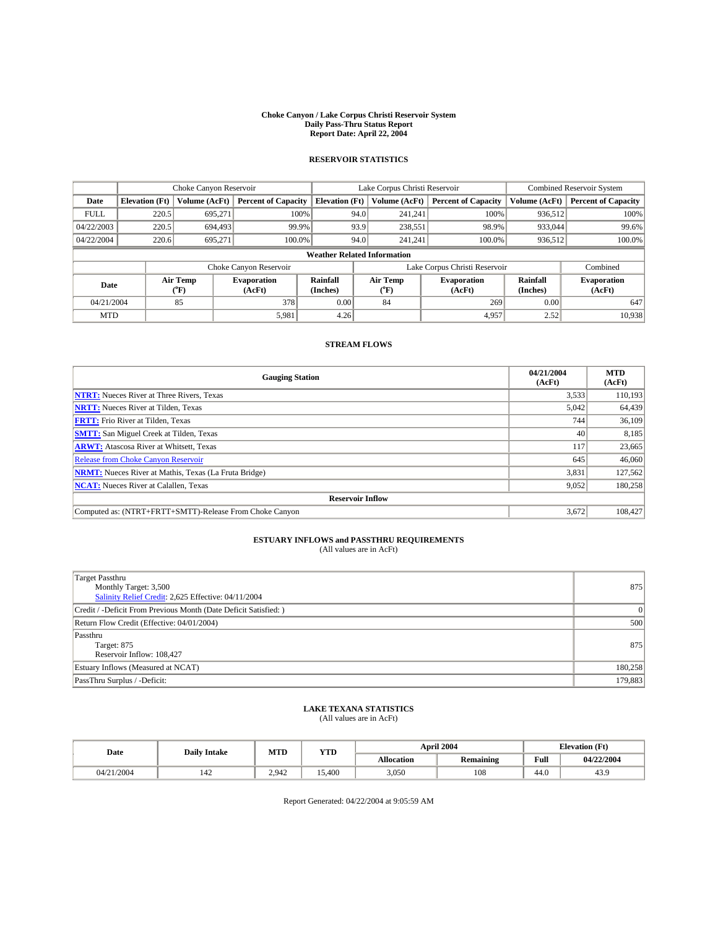#### **Choke Canyon / Lake Corpus Christi Reservoir System Daily Pass-Thru Status Report Report Date: April 22, 2004**

## **RESERVOIR STATISTICS**

|             | Choke Canyon Reservoir             |                          | Lake Corpus Christi Reservoir |                       |                               |                  | <b>Combined Reservoir System</b> |                      |                              |  |
|-------------|------------------------------------|--------------------------|-------------------------------|-----------------------|-------------------------------|------------------|----------------------------------|----------------------|------------------------------|--|
| Date        | <b>Elevation</b> (Ft)              | Volume (AcFt)            | <b>Percent of Capacity</b>    | <b>Elevation</b> (Ft) |                               | Volume (AcFt)    | <b>Percent of Capacity</b>       | Volume (AcFt)        | <b>Percent of Capacity</b>   |  |
| <b>FULL</b> | 220.5                              | 695,271                  | 100%                          |                       | 94.0                          | 241,241          | 100%                             | 936,512              | 100%                         |  |
| 04/22/2003  | 220.5                              | 694.493                  | 99.9%                         |                       | 93.9                          | 238,551          | 98.9%                            | 933,044              | 99.6%                        |  |
| 04/22/2004  | 220.6                              | 695.271                  | $100.0\%$                     |                       | 94.0                          | 241,241          | 100.0%                           | 936,512              | 100.0%                       |  |
|             | <b>Weather Related Information</b> |                          |                               |                       |                               |                  |                                  |                      |                              |  |
|             |                                    |                          | Choke Canyon Reservoir        |                       | Lake Corpus Christi Reservoir |                  |                                  |                      | Combined                     |  |
| Date        |                                    | Air Temp<br>$\rm ^{6}F)$ | <b>Evaporation</b><br>(AcFt)  | Rainfall<br>(Inches)  |                               | Air Temp<br>("F) | <b>Evaporation</b><br>(AcFt)     | Rainfall<br>(Inches) | <b>Evaporation</b><br>(AcFt) |  |
| 04/21/2004  |                                    | 85                       | 378                           | 0.00                  |                               | 84               | 269                              | 0.00                 | 647                          |  |
| <b>MTD</b>  |                                    |                          | 5,981                         | 4.26                  |                               |                  | 4,957                            | 2.52                 | 10,938                       |  |

### **STREAM FLOWS**

| <b>Gauging Station</b>                                       | 04/21/2004<br>(AcFt) | <b>MTD</b><br>(AcFt) |  |  |  |  |  |
|--------------------------------------------------------------|----------------------|----------------------|--|--|--|--|--|
| <b>NTRT:</b> Nueces River at Three Rivers, Texas             | 3,533                | 110,193              |  |  |  |  |  |
| <b>NRTT:</b> Nueces River at Tilden, Texas                   | 5,042                | 64,439               |  |  |  |  |  |
| <b>FRTT:</b> Frio River at Tilden, Texas                     | 744                  | 36,109               |  |  |  |  |  |
| <b>SMTT:</b> San Miguel Creek at Tilden, Texas               | 40                   | 8,185                |  |  |  |  |  |
| <b>ARWT:</b> Atascosa River at Whitsett, Texas               | 117                  | 23,665               |  |  |  |  |  |
| Release from Choke Canyon Reservoir                          | 645                  | 46,060               |  |  |  |  |  |
| <b>NRMT:</b> Nueces River at Mathis, Texas (La Fruta Bridge) | 3,831                | 127,562              |  |  |  |  |  |
| <b>NCAT:</b> Nueces River at Calallen, Texas                 | 9,052                | 180,258              |  |  |  |  |  |
| <b>Reservoir Inflow</b>                                      |                      |                      |  |  |  |  |  |
| Computed as: (NTRT+FRTT+SMTT)-Release From Choke Canyon      | 3,672                | 108,427              |  |  |  |  |  |

## **ESTUARY INFLOWS and PASSTHRU REQUIREMENTS**<br>(All values are in AcFt)

| <b>Target Passthru</b><br>Monthly Target: 3,500<br>Salinity Relief Credit: 2,625 Effective: 04/11/2004 | 875     |
|--------------------------------------------------------------------------------------------------------|---------|
| Credit / -Deficit From Previous Month (Date Deficit Satisfied: )                                       |         |
| Return Flow Credit (Effective: 04/01/2004)                                                             | 500     |
| Passthru<br>Target: 875<br>Reservoir Inflow: 108,427                                                   | 875     |
| Estuary Inflows (Measured at NCAT)                                                                     | 180,258 |
| PassThru Surplus / -Deficit:                                                                           | 179,883 |

## **LAKE TEXANA STATISTICS** (All values are in AcFt)

| Date       | <b>Daily Intake</b> | MTD   | <b>YTD</b> | April 2004        |           | <b>Elevation</b> (Ft) |            |
|------------|---------------------|-------|------------|-------------------|-----------|-----------------------|------------|
|            |                     |       |            | <b>Allocation</b> | Remaining | Full                  | 04/22/2004 |
| 04/21/2004 | 142                 | 2.942 | 15.400     | 3,050             | 108       | 44.0                  | 43.9       |

Report Generated: 04/22/2004 at 9:05:59 AM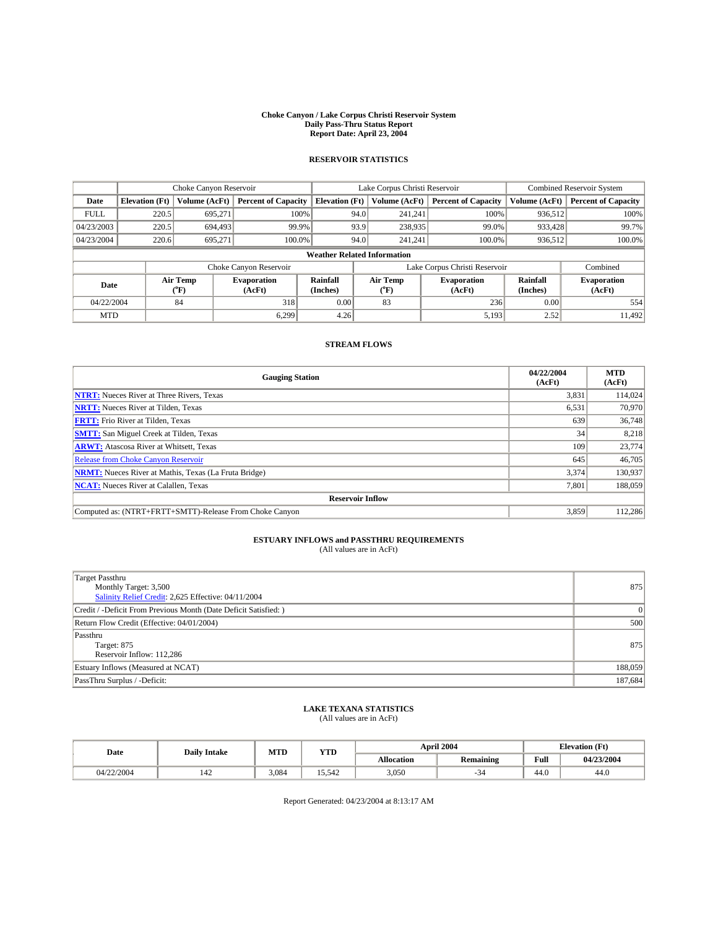#### **Choke Canyon / Lake Corpus Christi Reservoir System Daily Pass-Thru Status Report Report Date: April 23, 2004**

## **RESERVOIR STATISTICS**

|             | Choke Canyon Reservoir             |                  | Lake Corpus Christi Reservoir |                       |                               |                  | <b>Combined Reservoir System</b> |                      |                              |  |
|-------------|------------------------------------|------------------|-------------------------------|-----------------------|-------------------------------|------------------|----------------------------------|----------------------|------------------------------|--|
| Date        | <b>Elevation</b> (Ft)              | Volume (AcFt)    | <b>Percent of Capacity</b>    | <b>Elevation</b> (Ft) |                               | Volume (AcFt)    | <b>Percent of Capacity</b>       | Volume (AcFt)        | <b>Percent of Capacity</b>   |  |
| <b>FULL</b> | 220.5                              | 695,271          | 100%                          |                       | 94.0                          | 241,241          | 100%                             | 936,512              | 100%                         |  |
| 04/23/2003  | 220.5                              | 694.493          | 99.9%                         |                       | 93.9                          | 238,935          | 99.0%                            | 933,428              | 99.7%                        |  |
| 04/23/2004  | 220.6                              | 695.271          | $100.0\%$                     |                       | 94.0                          | 241,241          | 100.0%                           | 936,512              | 100.0%                       |  |
|             | <b>Weather Related Information</b> |                  |                               |                       |                               |                  |                                  |                      |                              |  |
|             |                                    |                  | Choke Canyon Reservoir        |                       | Lake Corpus Christi Reservoir |                  |                                  |                      | Combined                     |  |
| Date        |                                    | Air Temp<br>(°F) | <b>Evaporation</b><br>(AcFt)  | Rainfall<br>(Inches)  |                               | Air Temp<br>("F) | <b>Evaporation</b><br>(AcFt)     | Rainfall<br>(Inches) | <b>Evaporation</b><br>(AcFt) |  |
| 04/22/2004  |                                    | 84               | 318                           | 0.00                  |                               | 83               | 236                              | 0.00                 | 554                          |  |
| <b>MTD</b>  |                                    |                  | 6.299                         | 4.26                  |                               |                  | 5,193                            | 2.52                 | 11,492                       |  |

### **STREAM FLOWS**

| <b>Gauging Station</b>                                       | 04/22/2004<br>(AcFt) | <b>MTD</b><br>(AcFt) |
|--------------------------------------------------------------|----------------------|----------------------|
| <b>NTRT:</b> Nueces River at Three Rivers, Texas             | 3,831                | 114,024              |
| <b>NRTT:</b> Nueces River at Tilden, Texas                   | 6,531                | 70.970               |
| <b>FRTT:</b> Frio River at Tilden, Texas                     | 639                  | 36,748               |
| <b>SMTT:</b> San Miguel Creek at Tilden, Texas               | 34                   | 8,218                |
| <b>ARWT:</b> Atascosa River at Whitsett, Texas               | 109                  | 23,774               |
| Release from Choke Canyon Reservoir                          | 645                  | 46,705               |
| <b>NRMT:</b> Nueces River at Mathis, Texas (La Fruta Bridge) | 3.374                | 130.937              |
| <b>NCAT:</b> Nueces River at Calallen, Texas                 | 7,801                | 188,059              |
| <b>Reservoir Inflow</b>                                      |                      |                      |
| Computed as: (NTRT+FRTT+SMTT)-Release From Choke Canyon      | 3,859                | 112,286              |

## **ESTUARY INFLOWS and PASSTHRU REQUIREMENTS**<br>(All values are in AcFt)

| <b>Target Passthru</b><br>Monthly Target: 3,500<br>Salinity Relief Credit: 2,625 Effective: 04/11/2004 | 875     |
|--------------------------------------------------------------------------------------------------------|---------|
| Credit / -Deficit From Previous Month (Date Deficit Satisfied: )                                       |         |
| Return Flow Credit (Effective: 04/01/2004)                                                             | 500     |
| Passthru<br>Target: 875<br>Reservoir Inflow: 112,286                                                   | 875     |
| Estuary Inflows (Measured at NCAT)                                                                     | 188,059 |
| PassThru Surplus / -Deficit:                                                                           | 187,684 |

## **LAKE TEXANA STATISTICS** (All values are in AcFt)

| Date       | <b>Daily Intake</b> | MTD   | <b>YTD</b> |                   | April 2004       |      | <b>Elevation</b> (Ft) |  |
|------------|---------------------|-------|------------|-------------------|------------------|------|-----------------------|--|
|            |                     |       |            | <b>Allocation</b> | <b>Remaining</b> | Full | 04/23/2004            |  |
| 04/22/2004 | 142                 | 3,084 | 15.542     | 3,050             | -34              | 44.0 | 44.0                  |  |

Report Generated: 04/23/2004 at 8:13:17 AM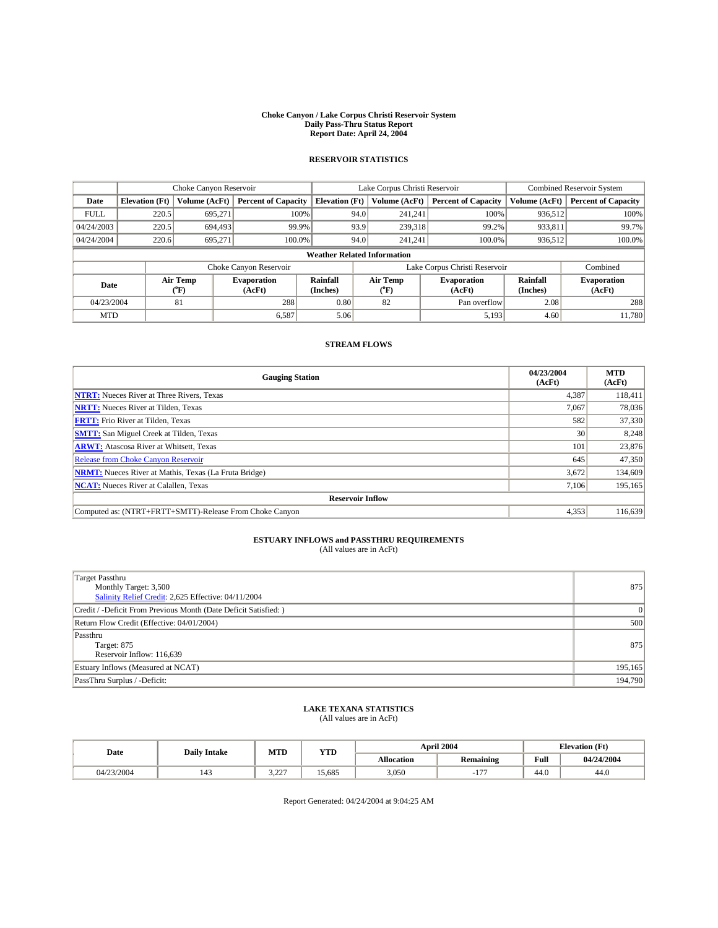#### **Choke Canyon / Lake Corpus Christi Reservoir System Daily Pass-Thru Status Report Report Date: April 24, 2004**

## **RESERVOIR STATISTICS**

|             | Choke Canyon Reservoir             |                  |                              |                       | Lake Corpus Christi Reservoir |                  |                              |                      | <b>Combined Reservoir System</b> |  |
|-------------|------------------------------------|------------------|------------------------------|-----------------------|-------------------------------|------------------|------------------------------|----------------------|----------------------------------|--|
| Date        | <b>Elevation</b> (Ft)              | Volume (AcFt)    | <b>Percent of Capacity</b>   | <b>Elevation</b> (Ft) |                               | Volume (AcFt)    | <b>Percent of Capacity</b>   | Volume (AcFt)        | <b>Percent of Capacity</b>       |  |
| <b>FULL</b> | 220.5                              | 695,271          | 100%                         |                       | 94.0                          | 241.241          | 100%                         | 936,512              | 100%                             |  |
| 04/24/2003  | 220.5                              | 694,493          | 99.9%                        |                       | 93.9                          | 239,318          | 99.2%                        | 933,811              | 99.7%                            |  |
| 04/24/2004  | 220.6                              | 695,271          | $100.0\%$                    |                       | 94.0                          | 241,241          | $100.0\%$                    | 936,512              | 100.0%                           |  |
|             | <b>Weather Related Information</b> |                  |                              |                       |                               |                  |                              |                      |                                  |  |
|             |                                    |                  | Choke Canyon Reservoir       |                       | Lake Corpus Christi Reservoir |                  |                              |                      | Combined                         |  |
| Date        |                                    | Air Temp<br>(°F) | <b>Evaporation</b><br>(AcFt) | Rainfall<br>(Inches)  |                               | Air Temp<br>("F) | <b>Evaporation</b><br>(AcFt) | Rainfall<br>(Inches) | <b>Evaporation</b><br>(AcFt)     |  |
| 04/23/2004  |                                    | 81               | 288                          | 0.80                  |                               | 82               | Pan overflow                 | 2.08                 | 288                              |  |
| <b>MTD</b>  |                                    |                  | 6,587                        | 5.06                  |                               |                  | 5,193                        | 4.60                 | 11,780                           |  |

### **STREAM FLOWS**

| <b>Gauging Station</b>                                       | 04/23/2004<br>(AcFt) | <b>MTD</b><br>(AcFt) |
|--------------------------------------------------------------|----------------------|----------------------|
| <b>NTRT:</b> Nueces River at Three Rivers, Texas             | 4,387                | 118,411              |
| <b>NRTT:</b> Nueces River at Tilden, Texas                   | 7,067                | 78,036               |
| <b>FRTT:</b> Frio River at Tilden, Texas                     | 582                  | 37,330               |
| <b>SMTT:</b> San Miguel Creek at Tilden, Texas               | 30                   | 8,248                |
| <b>ARWT:</b> Atascosa River at Whitsett, Texas               | 101                  | 23,876               |
| Release from Choke Canyon Reservoir                          | 645                  | 47,350               |
| <b>NRMT:</b> Nueces River at Mathis, Texas (La Fruta Bridge) | 3,672                | 134,609              |
| <b>NCAT:</b> Nueces River at Calallen, Texas                 | 7,106                | 195,165              |
| <b>Reservoir Inflow</b>                                      |                      |                      |
| Computed as: (NTRT+FRTT+SMTT)-Release From Choke Canyon      | 4,353                | 116,639              |

## **ESTUARY INFLOWS and PASSTHRU REQUIREMENTS**<br>(All values are in AcFt)

| <b>Target Passthru</b><br>Monthly Target: 3,500<br>Salinity Relief Credit: 2,625 Effective: 04/11/2004 | 875     |
|--------------------------------------------------------------------------------------------------------|---------|
| Credit / -Deficit From Previous Month (Date Deficit Satisfied: )                                       |         |
| Return Flow Credit (Effective: 04/01/2004)                                                             | 500     |
| Passthru<br>Target: 875<br>Reservoir Inflow: 116,639                                                   | 875     |
| Estuary Inflows (Measured at NCAT)                                                                     | 195,165 |
| PassThru Surplus / -Deficit:                                                                           | 194,790 |

## **LAKE TEXANA STATISTICS** (All values are in AcFt)

| Date       | <b>Daily Intake</b> | MTD                | <b>YTD</b> |                   | April 2004       | <b>Elevation</b> (Ft) |            |
|------------|---------------------|--------------------|------------|-------------------|------------------|-----------------------|------------|
|            |                     |                    |            | <b>Allocation</b> | <b>Remaining</b> | Full                  | 04/24/2004 |
| 04/23/2004 | 143                 | דרר י<br>، کانگوان | 15.685     | 3,050             | 1.77             | 44.0                  | 44.0       |

Report Generated: 04/24/2004 at 9:04:25 AM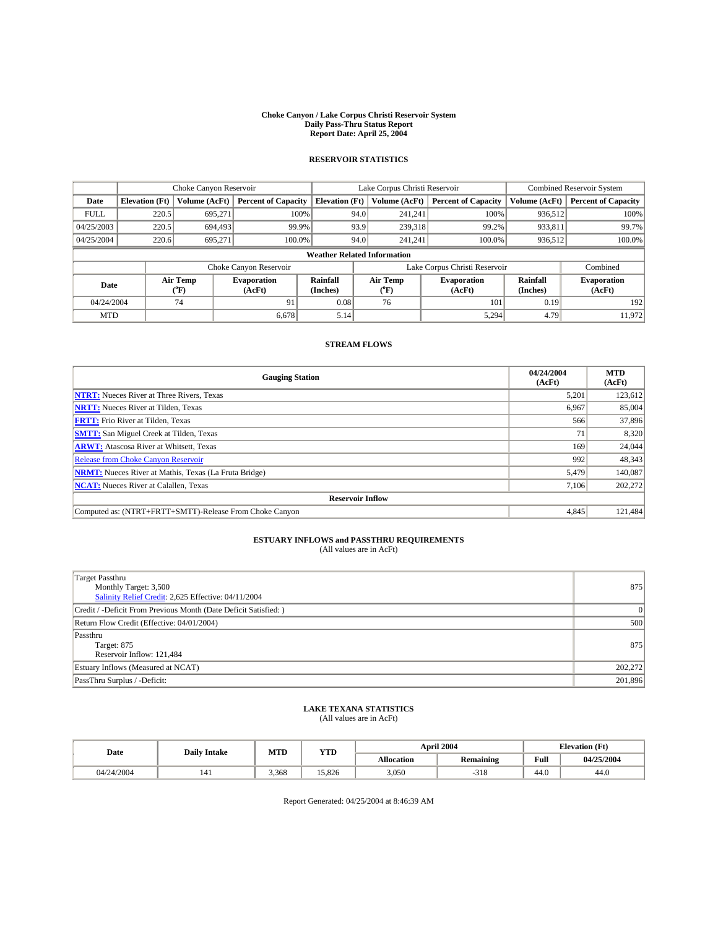#### **Choke Canyon / Lake Corpus Christi Reservoir System Daily Pass-Thru Status Report Report Date: April 25, 2004**

## **RESERVOIR STATISTICS**

|                                    | Choke Canyon Reservoir |                      | Lake Corpus Christi Reservoir |                       |                               |                  | Combined Reservoir System    |                      |                              |
|------------------------------------|------------------------|----------------------|-------------------------------|-----------------------|-------------------------------|------------------|------------------------------|----------------------|------------------------------|
| Date                               | <b>Elevation</b> (Ft)  | <b>Volume (AcFt)</b> | <b>Percent of Capacity</b>    | <b>Elevation (Ft)</b> |                               | Volume (AcFt)    | <b>Percent of Capacity</b>   | Volume (AcFt)        | <b>Percent of Capacity</b>   |
| <b>FULL</b>                        | 220.5                  | 695,271              | 100%                          |                       | 94.0                          | 241,241          | 100%                         | 936,512              | 100%                         |
| 04/25/2003                         | 220.5                  | 694.493              | 99.9%                         |                       | 93.9                          | 239,318          | 99.2%                        | 933,811              | 99.7%                        |
| 04/25/2004                         | 220.6                  | 695,271              | 100.0%                        |                       | 94.0                          | 241,241          | 100.0%                       | 936,512              | 100.0%                       |
| <b>Weather Related Information</b> |                        |                      |                               |                       |                               |                  |                              |                      |                              |
|                                    |                        |                      | Choke Canyon Reservoir        |                       | Lake Corpus Christi Reservoir |                  |                              |                      | Combined                     |
| Date                               |                        | Air Temp<br>(°F)     | <b>Evaporation</b><br>(AcFt)  | Rainfall<br>(Inches)  |                               | Air Temp<br>("F) | <b>Evaporation</b><br>(AcFt) | Rainfall<br>(Inches) | <b>Evaporation</b><br>(AcFt) |
| 04/24/2004                         |                        | 74                   | 91                            | 0.08                  |                               | 76               | 101                          | 0.19                 | 192                          |
| <b>MTD</b>                         |                        |                      | 6,678                         | 5.14                  |                               |                  | 5,294                        | 4.79                 | 11,972                       |

### **STREAM FLOWS**

| <b>Gauging Station</b>                                       | 04/24/2004<br>(AcFt) | <b>MTD</b><br>(AcFt) |
|--------------------------------------------------------------|----------------------|----------------------|
| <b>NTRT:</b> Nueces River at Three Rivers, Texas             | 5,201                | 123,612              |
| <b>NRTT:</b> Nueces River at Tilden, Texas                   | 6,967                | 85,004               |
| <b>FRTT:</b> Frio River at Tilden, Texas                     | 566                  | 37,896               |
| <b>SMTT:</b> San Miguel Creek at Tilden, Texas               | 71                   | 8,320                |
| <b>ARWT:</b> Atascosa River at Whitsett, Texas               | 169                  | 24,044               |
| Release from Choke Canyon Reservoir                          | 992                  | 48,343               |
| <b>NRMT:</b> Nueces River at Mathis, Texas (La Fruta Bridge) | 5,479                | 140,087              |
| <b>NCAT:</b> Nueces River at Calallen, Texas                 | 7,106                | 202,272              |
| <b>Reservoir Inflow</b>                                      |                      |                      |
| Computed as: (NTRT+FRTT+SMTT)-Release From Choke Canyon      | 4.845                | 121,484              |

## **ESTUARY INFLOWS and PASSTHRU REQUIREMENTS**<br>(All values are in AcFt)

| <b>Target Passthru</b><br>Monthly Target: 3,500<br>Salinity Relief Credit: 2,625 Effective: 04/11/2004 | 875     |
|--------------------------------------------------------------------------------------------------------|---------|
| Credit / -Deficit From Previous Month (Date Deficit Satisfied: )                                       |         |
| Return Flow Credit (Effective: 04/01/2004)                                                             | 500     |
| Passthru<br>Target: 875<br>Reservoir Inflow: 121,484                                                   | 875     |
| Estuary Inflows (Measured at NCAT)                                                                     | 202,272 |
| PassThru Surplus / -Deficit:                                                                           | 201,896 |

## **LAKE TEXANA STATISTICS** (All values are in AcFt)

| Date       | <b>Daily Intake</b> | MTD   | YTD    |                   | April 2004       | <b>Elevation</b> (Ft) |            |
|------------|---------------------|-------|--------|-------------------|------------------|-----------------------|------------|
|            |                     |       |        | <b>Allocation</b> | <b>Remaining</b> | Full                  | 04/25/2004 |
| 04/24/2004 | 141                 | 3,368 | 15.826 | 3,050             | $-318$           | 44.0                  | 44.0       |

Report Generated: 04/25/2004 at 8:46:39 AM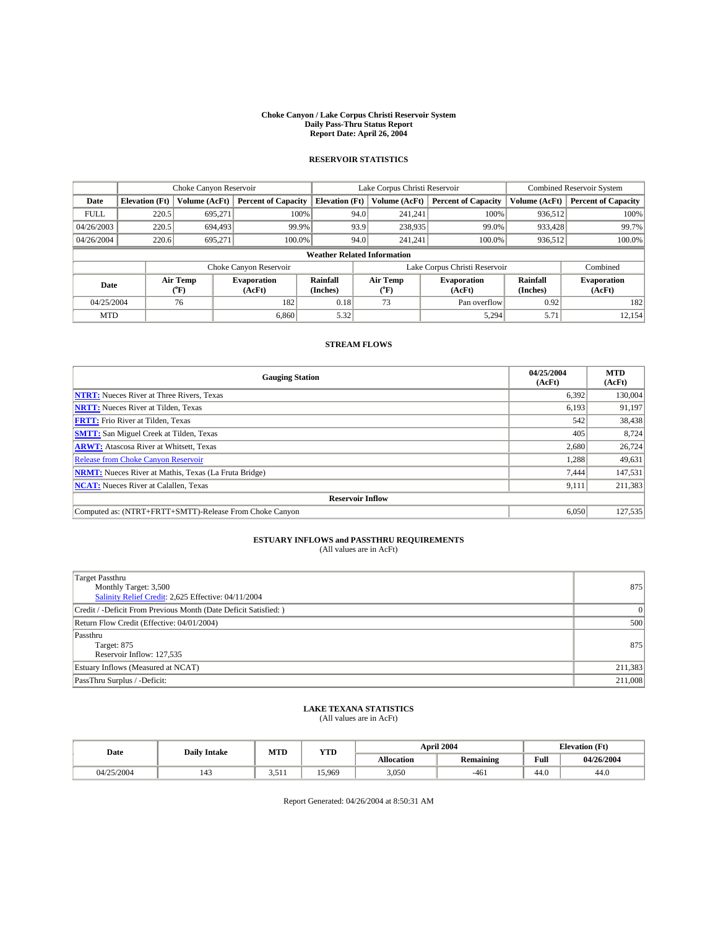#### **Choke Canyon / Lake Corpus Christi Reservoir System Daily Pass-Thru Status Report Report Date: April 26, 2004**

## **RESERVOIR STATISTICS**

|             | Choke Canyon Reservoir             |                  | Lake Corpus Christi Reservoir |                       |                               |                  | <b>Combined Reservoir System</b> |                      |                              |
|-------------|------------------------------------|------------------|-------------------------------|-----------------------|-------------------------------|------------------|----------------------------------|----------------------|------------------------------|
| Date        | <b>Elevation</b> (Ft)              | Volume (AcFt)    | <b>Percent of Capacity</b>    | <b>Elevation</b> (Ft) |                               | Volume (AcFt)    | <b>Percent of Capacity</b>       | Volume (AcFt)        | <b>Percent of Capacity</b>   |
| <b>FULL</b> | 220.5                              | 695,271          | 100%                          |                       | 94.0                          | 241,241          | 100%                             | 936,512              | 100%                         |
| 04/26/2003  | 220.5                              | 694.493          | 99.9%                         |                       | 93.9                          | 238,935          | 99.0%                            | 933,428              | 99.7%                        |
| 04/26/2004  | 220.6                              | 695.271          | $100.0\%$                     |                       | 94.0                          | 241,241          | 100.0%                           | 936,512              | 100.0%                       |
|             | <b>Weather Related Information</b> |                  |                               |                       |                               |                  |                                  |                      |                              |
|             |                                    |                  | Choke Canyon Reservoir        |                       | Lake Corpus Christi Reservoir |                  |                                  |                      | Combined                     |
| Date        |                                    | Air Temp<br>(°F) | <b>Evaporation</b><br>(AcFt)  | Rainfall<br>(Inches)  |                               | Air Temp<br>("F) | <b>Evaporation</b><br>(AcFt)     | Rainfall<br>(Inches) | <b>Evaporation</b><br>(AcFt) |
| 04/25/2004  |                                    | 76               | 182                           | 0.18                  |                               | 73               | Pan overflow                     | 0.92                 | 182                          |
| <b>MTD</b>  |                                    |                  | 6,860                         | 5.32                  |                               |                  | 5,294                            | 5.71                 | 12,154                       |

### **STREAM FLOWS**

| <b>Gauging Station</b>                                       | 04/25/2004<br>(AcFt) | <b>MTD</b><br>(AcFt) |  |  |  |  |  |
|--------------------------------------------------------------|----------------------|----------------------|--|--|--|--|--|
| <b>NTRT:</b> Nueces River at Three Rivers, Texas             | 6,392                | 130,004              |  |  |  |  |  |
| <b>NRTT:</b> Nueces River at Tilden, Texas                   | 6,193                | 91,197               |  |  |  |  |  |
| <b>FRTT:</b> Frio River at Tilden, Texas                     | 542                  | 38,438               |  |  |  |  |  |
| <b>SMTT:</b> San Miguel Creek at Tilden, Texas               | 405                  | 8,724                |  |  |  |  |  |
| <b>ARWT:</b> Atascosa River at Whitsett, Texas               | 2,680                | 26,724               |  |  |  |  |  |
| <b>Release from Choke Canyon Reservoir</b>                   | 1,288                | 49,631               |  |  |  |  |  |
| <b>NRMT:</b> Nueces River at Mathis, Texas (La Fruta Bridge) | 7.444                | 147,531              |  |  |  |  |  |
| <b>NCAT:</b> Nueces River at Calallen, Texas                 | 9,111                | 211,383              |  |  |  |  |  |
| <b>Reservoir Inflow</b>                                      |                      |                      |  |  |  |  |  |
| Computed as: (NTRT+FRTT+SMTT)-Release From Choke Canyon      | 6.050                | 127,535              |  |  |  |  |  |

## **ESTUARY INFLOWS and PASSTHRU REQUIREMENTS**<br>(All values are in AcFt)

| <b>Target Passthru</b><br>Monthly Target: 3,500<br>Salinity Relief Credit: 2,625 Effective: 04/11/2004 | 875     |
|--------------------------------------------------------------------------------------------------------|---------|
| Credit / -Deficit From Previous Month (Date Deficit Satisfied: )                                       |         |
| Return Flow Credit (Effective: 04/01/2004)                                                             | 500     |
| Passthru<br>Target: 875<br>Reservoir Inflow: 127,535                                                   | 875     |
| Estuary Inflows (Measured at NCAT)                                                                     | 211,383 |
| PassThru Surplus / -Deficit:                                                                           | 211,008 |

## **LAKE TEXANA STATISTICS** (All values are in AcFt)

| Date       | <b>Daily Intake</b> | MTD   | <b>YTD</b> |                   | April 2004       |      | <b>Elevation</b> (Ft) |
|------------|---------------------|-------|------------|-------------------|------------------|------|-----------------------|
|            |                     |       |            | <b>Allocation</b> | <b>Remaining</b> | Full | 04/26/2004            |
| 04/25/2004 | 143                 | 3,511 | 15.969     | 3,050             | $-461$           | 44.0 | 44.0                  |

Report Generated: 04/26/2004 at 8:50:31 AM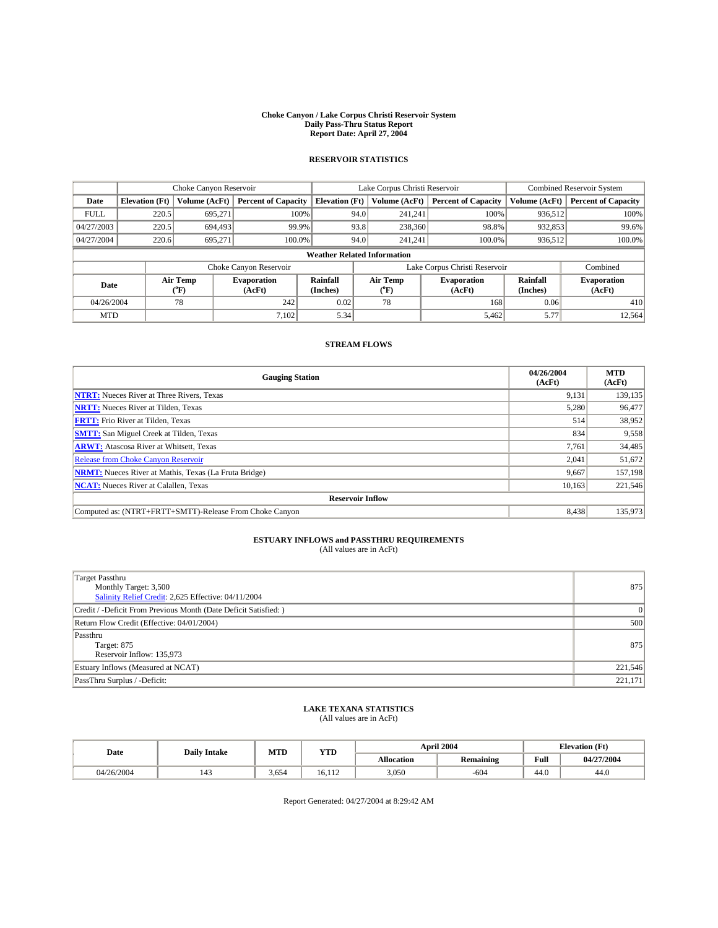#### **Choke Canyon / Lake Corpus Christi Reservoir System Daily Pass-Thru Status Report Report Date: April 27, 2004**

## **RESERVOIR STATISTICS**

|             |                                    |                      | Lake Corpus Christi Reservoir |                       |                               |                  | Combined Reservoir System    |                      |                              |
|-------------|------------------------------------|----------------------|-------------------------------|-----------------------|-------------------------------|------------------|------------------------------|----------------------|------------------------------|
| Date        | <b>Elevation</b> (Ft)              | <b>Volume (AcFt)</b> | <b>Percent of Capacity</b>    | <b>Elevation (Ft)</b> |                               | Volume (AcFt)    | <b>Percent of Capacity</b>   | Volume (AcFt)        | <b>Percent of Capacity</b>   |
| <b>FULL</b> | 220.5                              | 695,271              | 100%                          |                       | 94.0                          | 241,241          | 100%                         | 936,512              | 100%                         |
| 04/27/2003  | 220.5                              | 694.493              | 99.9%                         |                       | 93.8                          | 238,360          | 98.8%                        | 932,853              | 99.6%                        |
| 04/27/2004  | 220.6                              | 695,271              | 100.0%                        |                       | 94.0                          | 241,241          | 100.0%                       | 936,512              | 100.0%                       |
|             | <b>Weather Related Information</b> |                      |                               |                       |                               |                  |                              |                      |                              |
|             |                                    |                      | Choke Canyon Reservoir        |                       | Lake Corpus Christi Reservoir |                  |                              |                      | Combined                     |
| Date        |                                    | Air Temp<br>(°F)     | <b>Evaporation</b><br>(AcFt)  | Rainfall<br>(Inches)  |                               | Air Temp<br>("F) | <b>Evaporation</b><br>(AcFt) | Rainfall<br>(Inches) | <b>Evaporation</b><br>(AcFt) |
| 04/26/2004  |                                    | 78                   | 242                           | 0.02                  |                               | 78               | 168                          | 0.06                 | 410                          |
| <b>MTD</b>  |                                    |                      | 7,102                         | 5.34                  |                               |                  | 5,462                        | 5.77                 | 12,564                       |

### **STREAM FLOWS**

| <b>Gauging Station</b>                                       | 04/26/2004<br>(AcFt) | <b>MTD</b><br>(AcFt) |
|--------------------------------------------------------------|----------------------|----------------------|
| <b>NTRT:</b> Nueces River at Three Rivers, Texas             | 9,131                | 139,135              |
| <b>NRTT:</b> Nueces River at Tilden, Texas                   | 5,280                | 96,477               |
| <b>FRTT:</b> Frio River at Tilden, Texas                     | 514                  | 38,952               |
| <b>SMTT:</b> San Miguel Creek at Tilden, Texas               | 834                  | 9,558                |
| <b>ARWT:</b> Atascosa River at Whitsett, Texas               | 7,761                | 34,485               |
| <b>Release from Choke Canyon Reservoir</b>                   | 2,041                | 51,672               |
| <b>NRMT:</b> Nueces River at Mathis, Texas (La Fruta Bridge) | 9,667                | 157,198              |
| <b>NCAT:</b> Nueces River at Calallen, Texas                 | 10,163               | 221,546              |
| <b>Reservoir Inflow</b>                                      |                      |                      |
| Computed as: (NTRT+FRTT+SMTT)-Release From Choke Canyon      | 8,438                | 135,973              |

## **ESTUARY INFLOWS and PASSTHRU REQUIREMENTS**<br>(All values are in AcFt)

| <b>Target Passthru</b><br>Monthly Target: 3,500<br>Salinity Relief Credit: 2,625 Effective: 04/11/2004 | 875     |
|--------------------------------------------------------------------------------------------------------|---------|
| Credit / -Deficit From Previous Month (Date Deficit Satisfied: )                                       |         |
| Return Flow Credit (Effective: 04/01/2004)                                                             | 500     |
| Passthru<br>Target: 875<br>Reservoir Inflow: 135,973                                                   | 875     |
| Estuary Inflows (Measured at NCAT)                                                                     | 221,546 |
| PassThru Surplus / -Deficit:                                                                           | 221,171 |

## **LAKE TEXANA STATISTICS** (All values are in AcFt)

| Date       | <b>Daily Intake</b> | MTD   | YTD    |                   | <b>April 2004</b> | <b>Elevation</b> (Ft) |            |  |
|------------|---------------------|-------|--------|-------------------|-------------------|-----------------------|------------|--|
|            |                     |       |        | <b>Allocation</b> | Remaining         | Full                  | 04/27/2004 |  |
| 04/26/2004 | 143                 | 3,654 | 16.112 | 3,050             | $-604$            | 44.0                  | 44.0       |  |

Report Generated: 04/27/2004 at 8:29:42 AM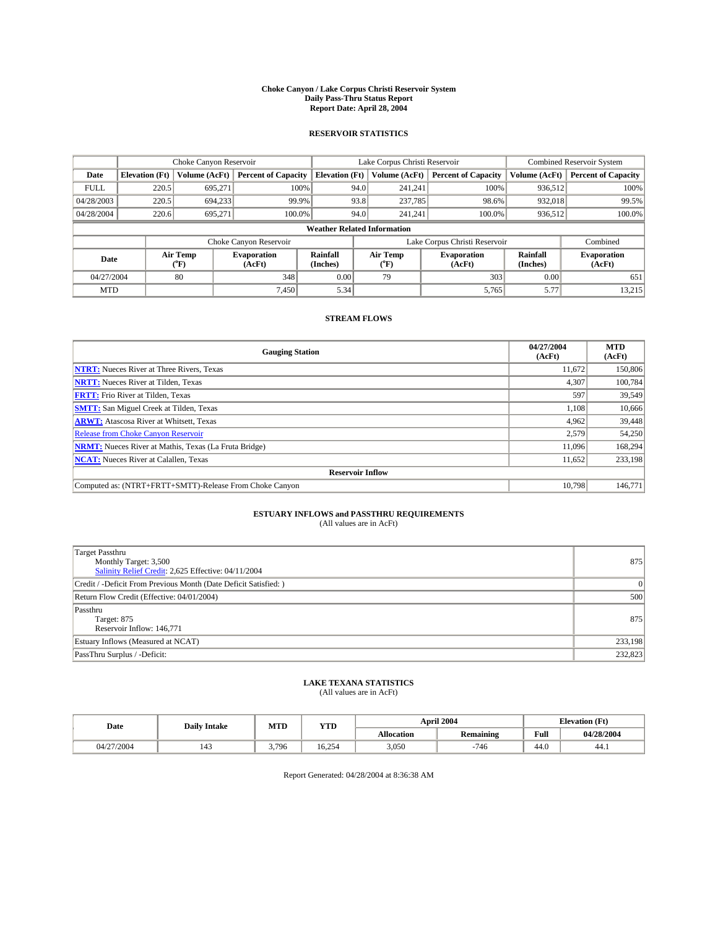#### **Choke Canyon / Lake Corpus Christi Reservoir System Daily Pass-Thru Status Report Report Date: April 28, 2004**

#### **RESERVOIR STATISTICS**

|             | Choke Canyon Reservoir             |                             |                              |                             | Lake Corpus Christi Reservoir |                  |                               |                      | <b>Combined Reservoir System</b> |  |  |
|-------------|------------------------------------|-----------------------------|------------------------------|-----------------------------|-------------------------------|------------------|-------------------------------|----------------------|----------------------------------|--|--|
| Date        | <b>Elevation</b> (Ft)              | Volume (AcFt)               | <b>Percent of Capacity</b>   | <b>Elevation</b> (Ft)       |                               | Volume (AcFt)    | <b>Percent of Capacity</b>    | Volume (AcFt)        | <b>Percent of Capacity</b>       |  |  |
| <b>FULL</b> | 220.5                              | 695,271                     | 100%                         |                             | 94.0                          | 241,241          | 100%                          | 936.512              | 100%                             |  |  |
| 04/28/2003  | 220.5                              | 694,233                     | 99.9%                        |                             | 93.8                          | 237,785          | 98.6%                         | 932,018              | 99.5%                            |  |  |
| 04/28/2004  | 220.6                              | 695.271                     | 100.0%                       |                             | 94.0                          | 241.241          | $100.0\%$                     | 936,512              | 100.0%                           |  |  |
|             | <b>Weather Related Information</b> |                             |                              |                             |                               |                  |                               |                      |                                  |  |  |
|             |                                    |                             | Choke Canyon Reservoir       |                             |                               |                  | Lake Corpus Christi Reservoir |                      | Combined                         |  |  |
| Date        |                                    | Air Temp<br>${}^{\circ}$ F) | <b>Evaporation</b><br>(AcFt) | <b>Rainfall</b><br>(Inches) |                               | Air Temp<br>("F) | <b>Evaporation</b><br>(AcFt)  | Rainfall<br>(Inches) | <b>Evaporation</b><br>(AcFt)     |  |  |
| 04/27/2004  |                                    | 80                          | 348                          | 0.00                        |                               | 79               | 303                           | 0.00                 | 651                              |  |  |
| <b>MTD</b>  |                                    |                             | 7,450                        | 5.34                        |                               |                  | 5,765                         | 5.77                 | 13,215                           |  |  |

### **STREAM FLOWS**

| <b>Gauging Station</b>                                       | 04/27/2004<br>(AcFt) | <b>MTD</b><br>(AcFt) |
|--------------------------------------------------------------|----------------------|----------------------|
| <b>NTRT:</b> Nueces River at Three Rivers, Texas             | 11,672               | 150,806              |
| <b>NRTT:</b> Nueces River at Tilden, Texas                   | 4,307                | 100.784              |
| <b>FRTT:</b> Frio River at Tilden, Texas                     | 597                  | 39.549               |
| <b>SMTT:</b> San Miguel Creek at Tilden, Texas               | 1.108                | 10,666               |
| <b>ARWT:</b> Atascosa River at Whitsett, Texas               | 4,962                | 39,448               |
| <b>Release from Choke Canyon Reservoir</b>                   | 2,579                | 54,250               |
| <b>NRMT:</b> Nueces River at Mathis, Texas (La Fruta Bridge) | 11,096               | 168,294              |
| <b>NCAT:</b> Nueces River at Calallen, Texas                 | 11,652               | 233,198              |
| <b>Reservoir Inflow</b>                                      |                      |                      |
| Computed as: (NTRT+FRTT+SMTT)-Release From Choke Canyon      | 10.798               | 146,771              |

## **ESTUARY INFLOWS and PASSTHRU REQUIREMENTS**<br>(All values are in AcFt)

| Target Passthru<br>Monthly Target: 3,500<br>Salinity Relief Credit: 2,625 Effective: 04/11/2004 | 875     |
|-------------------------------------------------------------------------------------------------|---------|
| Credit / -Deficit From Previous Month (Date Deficit Satisfied: )                                | 0       |
| Return Flow Credit (Effective: 04/01/2004)                                                      | 500     |
| Passthru<br>Target: 875<br>Reservoir Inflow: 146,771                                            | 875     |
| Estuary Inflows (Measured at NCAT)                                                              | 233,198 |
| PassThru Surplus / -Deficit:                                                                    | 232,823 |

# **LAKE TEXANA STATISTICS** (All values are in AcFt)

| Date       | <b>Daily Intake</b> | MTD   | <b>YTD</b> |                   | April 2004 | <b>Elevation</b> (Ft) |            |
|------------|---------------------|-------|------------|-------------------|------------|-----------------------|------------|
|            |                     |       |            | <b>Allocation</b> | Remaining  | Full                  | 04/28/2004 |
| 04/27/2004 | 143                 | 3.796 | 16.254     | 3,050             | $-746$     | 44.0                  | 44.1       |

Report Generated: 04/28/2004 at 8:36:38 AM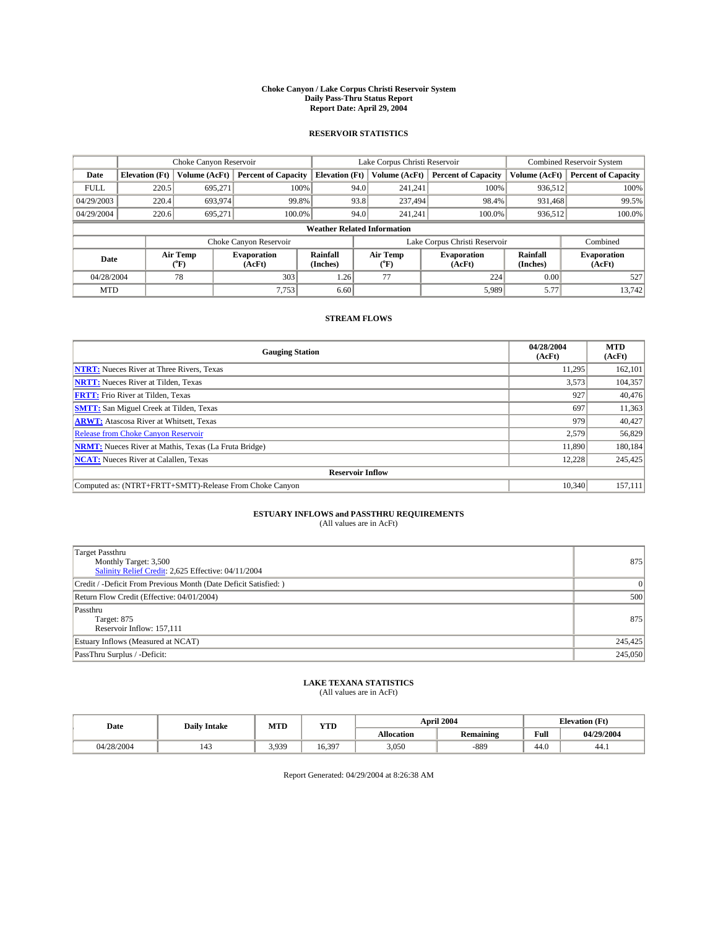#### **Choke Canyon / Lake Corpus Christi Reservoir System Daily Pass-Thru Status Report Report Date: April 29, 2004**

#### **RESERVOIR STATISTICS**

|             | Choke Canyon Reservoir             |                  |                              |                             | Lake Corpus Christi Reservoir |                  |                               |                      | <b>Combined Reservoir System</b> |  |  |
|-------------|------------------------------------|------------------|------------------------------|-----------------------------|-------------------------------|------------------|-------------------------------|----------------------|----------------------------------|--|--|
| Date        | <b>Elevation</b> (Ft)              | Volume (AcFt)    | <b>Percent of Capacity</b>   | <b>Elevation</b> (Ft)       |                               | Volume (AcFt)    | <b>Percent of Capacity</b>    | Volume (AcFt)        | <b>Percent of Capacity</b>       |  |  |
| <b>FULL</b> | 220.5                              | 695,271          | 100%                         |                             | 94.0                          | 241,241          | 100%                          | 936.512              | 100%                             |  |  |
| 04/29/2003  | 220.4                              | 693,974          | 99.8%                        |                             | 93.8                          | 237,494          | 98.4%                         | 931.468              | 99.5%                            |  |  |
| 04/29/2004  | 220.6                              | 695.271          | 100.0%                       |                             | 94.0                          | 241.241          | $100.0\%$                     | 936,512              | 100.0%                           |  |  |
|             | <b>Weather Related Information</b> |                  |                              |                             |                               |                  |                               |                      |                                  |  |  |
|             |                                    |                  | Choke Canyon Reservoir       |                             |                               |                  | Lake Corpus Christi Reservoir |                      | Combined                         |  |  |
| Date        |                                    | Air Temp<br>(°F) | <b>Evaporation</b><br>(AcFt) | <b>Rainfall</b><br>(Inches) |                               | Air Temp<br>("F) | <b>Evaporation</b><br>(AcFt)  | Rainfall<br>(Inches) | <b>Evaporation</b><br>(AcFt)     |  |  |
| 04/28/2004  |                                    | 78               | 303                          | 1.26                        |                               | 77               | 224                           | 0.00                 | 527                              |  |  |
| <b>MTD</b>  |                                    |                  | 7,753                        | 6.60                        |                               |                  | 5,989                         | 5.77                 | 13,742                           |  |  |

### **STREAM FLOWS**

| <b>Gauging Station</b>                                       | 04/28/2004<br>(AcFt) | <b>MTD</b><br>(AcFt) |
|--------------------------------------------------------------|----------------------|----------------------|
| <b>NTRT:</b> Nueces River at Three Rivers, Texas             | 11.295               | 162,101              |
| <b>NRTT:</b> Nueces River at Tilden, Texas                   | 3,573                | 104,357              |
| <b>FRTT:</b> Frio River at Tilden, Texas                     | 927                  | 40,476               |
| <b>SMTT:</b> San Miguel Creek at Tilden, Texas               | 697                  | 11,363               |
| <b>ARWT:</b> Atascosa River at Whitsett, Texas               | 979                  | 40,427               |
| <b>Release from Choke Canyon Reservoir</b>                   | 2,579                | 56,829               |
| <b>NRMT:</b> Nueces River at Mathis, Texas (La Fruta Bridge) | 11,890               | 180.184              |
| <b>NCAT:</b> Nueces River at Calallen, Texas                 | 12.228               | 245,425              |
| <b>Reservoir Inflow</b>                                      |                      |                      |
| Computed as: (NTRT+FRTT+SMTT)-Release From Choke Canyon      | 10.340               | 157,111              |

# **ESTUARY INFLOWS and PASSTHRU REQUIREMENTS**<br>(All values are in AcFt)

| Target Passthru<br>Monthly Target: 3,500<br>Salinity Relief Credit: 2,625 Effective: 04/11/2004 | 875     |
|-------------------------------------------------------------------------------------------------|---------|
| Credit / -Deficit From Previous Month (Date Deficit Satisfied: )                                | 0       |
| Return Flow Credit (Effective: 04/01/2004)                                                      | 500     |
| Passthru<br>Target: 875<br>Reservoir Inflow: 157,111                                            | 875     |
| Estuary Inflows (Measured at NCAT)                                                              | 245,425 |
| PassThru Surplus / -Deficit:                                                                    | 245,050 |

# **LAKE TEXANA STATISTICS** (All values are in AcFt)

| Date       | <b>Daily Intake</b> | MTD   | VTT<br>1 I D |                   | <b>April 2004</b> | <b>Elevation (Ft)</b> |            |
|------------|---------------------|-------|--------------|-------------------|-------------------|-----------------------|------------|
|            |                     |       |              | <b>Allocation</b> | Remaining         | Full                  | 04/29/2004 |
| 04/28/2004 | 143                 | 3.939 | 16.397       | 3,050             | $-889$            | 44.0                  | 44.1       |

Report Generated: 04/29/2004 at 8:26:38 AM